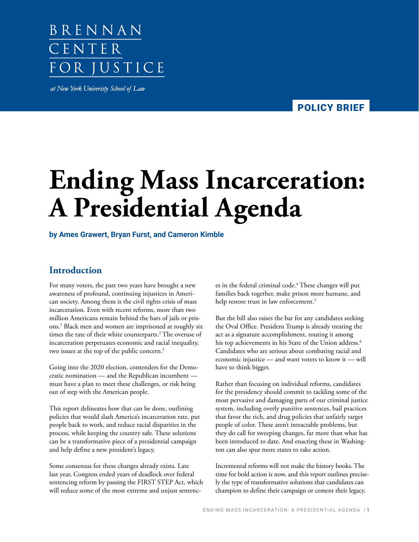# BRENNAN CENTER FOR JUSTICE

at New York University School of Law

POLICY BRIEF **POLICY BRIEF**

# **Ending Mass Incarceration: A Presidential Agenda**

#### **by Ames Grawert, Bryan Furst, and Cameron Kimble**

# **Introduction**

For many voters, the past two years have brought a new awareness of profound, continuing injustices in American society. Among them is the civil rights crisis of mass incarceration. Even with recent reforms, more than two million Americans remain behind the bars of jails or prisons.1 Black men and women are imprisoned at roughly six times the rate of their white counterparts.<sup>2</sup> The overuse of incarceration perpetuates economic and racial inequality, two issues at the top of the public concern.<sup>3</sup>

Going into the 2020 election, contenders for the Democratic nomination — and the Republican incumbent must have a plan to meet these challenges, or risk being out of step with the American people.

This report delineates how that can be done, outlining policies that would slash America's incarceration rate, put people back to work, and reduce racial disparities in the process, while keeping the country safe. These solutions can be a transformative piece of a presidential campaign and help define a new president's legacy.

Some consensus for these changes already exists. Late last year, Congress ended years of deadlock over federal sentencing reform by passing the FIRST STEP Act, which will reduce some of the most extreme and unjust sentenc-

es in the federal criminal code.4 These changes will put families back together, make prison more humane, and help restore trust in law enforcement.<sup>5</sup>

But the bill also raises the bar for any candidates seeking the Oval Office. President Trump is already treating the act as a signature accomplishment, touting it among his top achievements in his State of the Union address.<sup>6</sup> Candidates who are serious about combating racial and economic injustice — and want voters to know it — will have to think bigger.

Rather than focusing on individual reforms, candidates for the presidency should commit to tackling some of the most pervasive and damaging parts of our criminal justice system, including overly punitive sentences, bail practices that favor the rich, and drug policies that unfairly target people of color. These aren't intractable problems, but they do call for sweeping changes, far more than what has been introduced to date. And enacting these in Washington can also spur more states to take action.

Incremental reforms will not make the history books. The time for bold action is now, and this report outlines precisely the type of transformative solutions that candidates can champion to define their campaign or cement their legacy.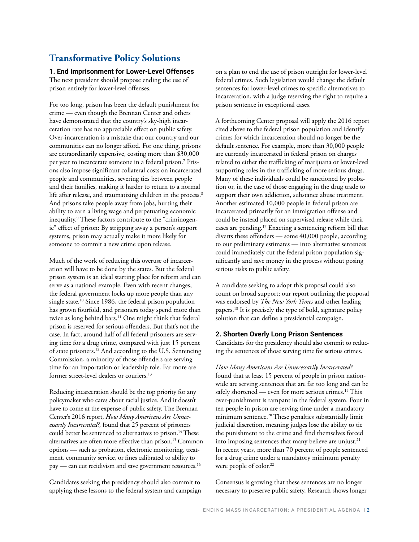# **Transformative Policy Solutions**

#### **1. End Imprisonment for Lower-Level Offenses**

The next president should propose ending the use of prison entirely for lower-level offenses.

For too long, prison has been the default punishment for crime — even though the Brennan Center and others have demonstrated that the country's sky-high incarceration rate has no appreciable effect on public safety. Over-incarceration is a mistake that our country and our communities can no longer afford. For one thing, prisons are extraordinarily expensive, costing more than \$30,000 per year to incarcerate someone in a federal prison.7 Prisons also impose significant collateral costs on incarcerated people and communities, severing ties between people and their families, making it harder to return to a normal life after release, and traumatizing children in the process.<sup>8</sup> And prisons take people away from jobs, hurting their ability to earn a living wage and perpetuating economic inequality.9 These factors contribute to the "criminogenic" effect of prison: By stripping away a person's support systems, prison may actually make it more likely for someone to commit a new crime upon release.

Much of the work of reducing this overuse of incarceration will have to be done by the states. But the federal prison system is an ideal starting place for reform and can serve as a national example. Even with recent changes, the federal government locks up more people than any single state.<sup>10</sup> Since 1986, the federal prison population has grown fourfold, and prisoners today spend more than twice as long behind bars.<sup>11</sup> One might think that federal prison is reserved for serious offenders. But that's not the case. In fact, around half of all federal prisoners are serving time for a drug crime, compared with just 15 percent of state prisoners.12 And according to the U.S. Sentencing Commission, a minority of those offenders are serving time for an importation or leadership role. Far more are former street-level dealers or couriers.13

Reducing incarceration should be the top priority for any policymaker who cares about racial justice. And it doesn't have to come at the expense of public safety. The Brennan Center's 2016 report, *How Many Americans Are Unnecessarily Incarcerated?,* found that 25 percent of prisoners could better be sentenced to alternatives to prison.<sup>14</sup> These alternatives are often more effective than prison.<sup>15</sup> Common options — such as probation, electronic monitoring, treatment, community service, or fines calibrated to ability to pay — can cut recidivism and save government resources.<sup>16</sup>

Candidates seeking the presidency should also commit to applying these lessons to the federal system and campaign on a plan to end the use of prison outright for lower-level federal crimes. Such legislation would change the default sentences for lower-level crimes to specific alternatives to incarceration, with a judge reserving the right to require a prison sentence in exceptional cases.

A forthcoming Center proposal will apply the 2016 report cited above to the federal prison population and identify crimes for which incarceration should no longer be the default sentence. For example, more than 30,000 people are currently incarcerated in federal prison on charges related to either the trafficking of marijuana or lower-level supporting roles in the trafficking of more serious drugs. Many of these individuals could be sanctioned by probation or, in the case of those engaging in the drug trade to support their own addiction, substance abuse treatment. Another estimated 10,000 people in federal prison are incarcerated primarily for an immigration offense and could be instead placed on supervised release while their cases are pending.17 Enacting a sentencing reform bill that diverts these offenders — some 40,000 people, according to our preliminary estimates — into alternative sentences could immediately cut the federal prison population significantly and save money in the process without posing serious risks to public safety.

A candidate seeking to adopt this proposal could also count on broad support; our report outlining the proposal was endorsed by *The New York Times* and other leading papers.18 It is precisely the type of bold, signature policy solution that can define a presidential campaign.

#### **2. Shorten Overly Long Prison Sentences**

Candidates for the presidency should also commit to reducing the sentences of those serving time for serious crimes.

*How Many Americans Are Unnecessarily Incarcerated?* found that at least 15 percent of people in prison nationwide are serving sentences that are far too long and can be safely shortened — even for more serious crimes.<sup>19</sup> This over-punishment is rampant in the federal system. Four in ten people in prison are serving time under a mandatory minimum sentence.<sup>20</sup> These penalties substantially limit judicial discretion, meaning judges lose the ability to tie the punishment to the crime and find themselves forced into imposing sentences that many believe are unjust.<sup>21</sup> In recent years, more than 70 percent of people sentenced for a drug crime under a mandatory minimum penalty were people of color.<sup>22</sup>

Consensus is growing that these sentences are no longer necessary to preserve public safety. Research shows longer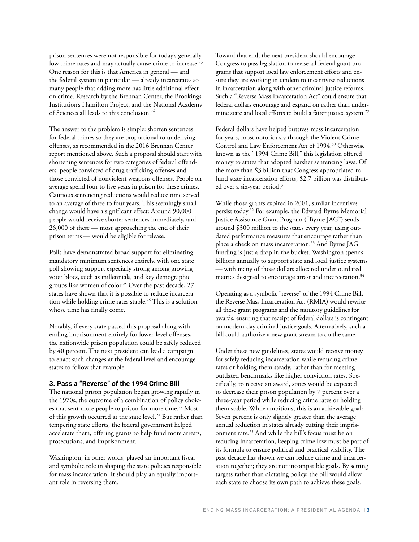prison sentences were not responsible for today's generally low crime rates and may actually cause crime to increase.<sup>23</sup> One reason for this is that America in general — and the federal system in particular — already incarcerates so many people that adding more has little additional effect on crime. Research by the Brennan Center, the Brookings Institution's Hamilton Project, and the National Academy of Sciences all leads to this conclusion.<sup>24</sup>

The answer to the problem is simple: shorten sentences for federal crimes so they are proportional to underlying offenses, as recommended in the 2016 Brennan Center report mentioned above. Such a proposal should start with shortening sentences for two categories of federal offenders: people convicted of drug trafficking offenses and those convicted of nonviolent weapons offenses. People on average spend four to five years in prison for these crimes. Cautious sentencing reductions would reduce time served to an average of three to four years. This seemingly small change would have a significant effect: Around 90,000 people would receive shorter sentences immediately, and 26,000 of these — most approaching the end of their prison terms — would be eligible for release.

Polls have demonstrated broad support for eliminating mandatory minimum sentences entirely, with one state poll showing support especially strong among growing voter blocs, such as millennials, and key demographic groups like women of color.<sup>25</sup> Over the past decade, 27 states have shown that it is possible to reduce incarceration while holding crime rates stable.<sup>26</sup> This is a solution whose time has finally come.

Notably, if every state passed this proposal along with ending imprisonment entirely for lower-level offenses, the nationwide prison population could be safely reduced by 40 percent. The next president can lead a campaign to enact such changes at the federal level and encourage states to follow that example.

#### **3. Pass a "Reverse" of the 1994 Crime Bill**

The national prison population began growing rapidly in the 1970s, the outcome of a combination of policy choices that sent more people to prison for more time.<sup>27</sup> Most of this growth occurred at the state level.<sup>28</sup> But rather than tempering state efforts, the federal government helped accelerate them, offering grants to help fund more arrests, prosecutions, and imprisonment.

Washington, in other words, played an important fiscal and symbolic role in shaping the state policies responsible for mass incarceration. It should play an equally important role in reversing them.

Toward that end, the next president should encourage Congress to pass legislation to revise all federal grant programs that support local law enforcement efforts and ensure they are working in tandem to incentivize reductions in incarceration along with other criminal justice reforms. Such a "Reverse Mass Incarceration Act" could ensure that federal dollars encourage and expand on rather than undermine state and local efforts to build a fairer justice system.<sup>29</sup>

Federal dollars have helped buttress mass incarceration for years, most notoriously through the Violent Crime Control and Law Enforcement Act of 1994.30 Otherwise known as the "1994 Crime Bill," this legislation offered money to states that adopted harsher sentencing laws. Of the more than \$3 billion that Congress appropriated to fund state incarceration efforts, \$2.7 billion was distributed over a six-year period.<sup>31</sup>

While those grants expired in 2001, similar incentives persist today.32 For example, the Edward Byrne Memorial Justice Assistance Grant Program ("Byrne JAG") sends around \$300 million to the states every year, using outdated performance measures that encourage rather than place a check on mass incarceration.<sup>33</sup> And Byrne JAG funding is just a drop in the bucket. Washington spends billions annually to support state and local justice systems — with many of those dollars allocated under outdated metrics designed to encourage arrest and incarceration.<sup>34</sup>

Operating as a symbolic "reverse" of the 1994 Crime Bill, the Reverse Mass Incarceration Act (RMIA) would rewrite all these grant programs and the statutory guidelines for awards, ensuring that receipt of federal dollars is contingent on modern-day criminal justice goals. Alternatively, such a bill could authorize a new grant stream to do the same.

Under these new guidelines, states would receive money for safely reducing incarceration while reducing crime rates or holding them steady, rather than for meeting outdated benchmarks like higher conviction rates. Specifically, to receive an award, states would be expected to decrease their prison population by 7 percent over a three-year period while reducing crime rates or holding them stable. While ambitious, this is an achievable goal: Seven percent is only slightly greater than the average annual reduction in states already cutting their imprisonment rate.35 And while the bill's focus must be on reducing incarceration, keeping crime low must be part of its formula to ensure political and practical viability. The past decade has shown we can reduce crime and incarceration together; they are not incompatible goals. By setting targets rather than dictating policy, the bill would allow each state to choose its own path to achieve these goals.

ENDING MASS INCARCERATION: A PRESIDENTIAL AGENDA | 3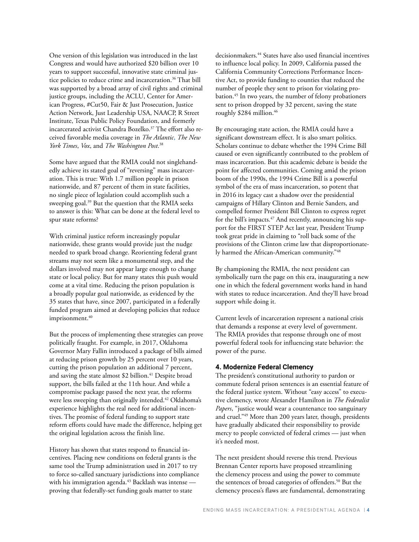One version of this legislation was introduced in the last Congress and would have authorized \$20 billion over 10 years to support successful, innovative state criminal justice policies to reduce crime and incarceration.<sup>36</sup> That bill was supported by a broad array of civil rights and criminal justice groups, including the ACLU, [Center](https://www.americanprogress.org/issues/criminal-justice/reports/2017/09/07/438570/congress-can-lead-criminal-justice-reform-funding-choices/) for American Progress, #Cut50, [Fair & Just Prosecution](https://www.citylab.com/equity/2018/04/americas-justice-system-has-the-wrong-goals/558761/), Justice Action Network, Just Leadership USA, NAACP, R Street Institute, Texas Public Policy Foundation, and formerly incarcerated activist [Chandra Bozelko](https://www.nbcnews.com/think/opinion/incarcerated-women-need-dignity-freedom-more-free-tampons-ncna854631).37 The effort also received favorable media coverage in *The Atlantic*, *The New York Times*, *Vox*, and *The Washington Post*. 38

Some have argued that the RMIA could not singlehandedly achieve its stated goal of "reversing" mass incarceration. This is true: With 1.7 million people in prison nationwide, and 87 percent of them in state facilities, no single piece of legislation could accomplish such a sweeping goal.39 But the question that the RMIA seeks to answer is this: What can be done at the federal level to spur state reforms?

With criminal justice reform increasingly popular nationwide, these grants would provide just the nudge needed to spark broad change. Reorienting federal grant streams may not seem like a monumental step, and the dollars involved may not appear large enough to change state or local policy. But for many states this push would come at a vital time. Reducing the prison population is a broadly popular goal nationwide, as evidenced by the 35 states that have, since 2007, participated in a federally funded program aimed at developing policies that reduce imprisonment.<sup>40</sup>

But the process of implementing these strategies can prove politically fraught. For example, in 2017, Oklahoma Governor Mary Fallin introduced a package of bills aimed at reducing prison growth by 25 percent over 10 years, cutting the prison population an additional 7 percent, and saving the state almost \$2 billion.<sup>41</sup> Despite broad support, the bills failed at the 11th hour. And while a compromise package passed the next year, the reforms were less sweeping than originally intended.<sup>42</sup> Oklahoma's experience highlights the real need for additional incentives. The promise of federal funding to support state reform efforts could have made the difference, helping get the original legislation across the finish line.

History has shown that states respond to financial incentives. Placing new conditions on federal grants is the same tool the Trump administration used in 2017 to try to force so-called sanctuary jurisdictions into compliance with his immigration agenda.<sup>43</sup> Backlash was intense proving that federally-set funding goals matter to state

decisionmakers.44 States have also used financial incentives to influence local policy. In 2009, California passed the California Community Corrections Performance Incentive Act, to provide funding to counties that reduced the number of people they sent to prison for violating probation.45 In two years, the number of felony probationers sent to prison dropped by 32 percent, saving the state roughly \$284 million.<sup>46</sup>

By encouraging state action, the RMIA could have a significant downstream effect. It is also smart politics. Scholars continue to debate whether the 1994 Crime Bill caused or even significantly contributed to the problem of mass incarceration. But this academic debate is beside the point for affected communities. Coming amid the prison boom of the 1990s, the 1994 Crime Bill is a powerful symbol of the era of mass incarceration, so potent that in 2016 its legacy cast a shadow over the presidential campaigns of Hillary Clinton and Bernie Sanders, and compelled former President Bill Clinton to express regret for the bill's impacts.<sup>47</sup> And recently, announcing his support for the FIRST STEP Act last year, President Trump took great pride in claiming to "roll back some of the provisions of the Clinton crime law that disproportionately harmed the African-American community."48

By championing the RMIA, the next president can symbolically turn the page on this era, inaugurating a new one in which the federal government works hand in hand with states to reduce incarceration. And they'll have broad support while doing it.

Current levels of incarceration represent a national crisis that demands a response at every level of government. The RMIA provides that response through one of most powerful federal tools for influencing state behavior: the power of the purse.

#### **4. Modernize Federal Clemency**

The president's constitutional authority to pardon or commute federal prison sentences is an essential feature of the federal justice system. Without "easy access" to executive clemency, wrote Alexander Hamilton in *The Federalist Papers*, "justice would wear a countenance too sanguinary and cruel."49 More than 200 years later, though, presidents have gradually abdicated their responsibility to provide mercy to people convicted of federal crimes — just when it's needed most.

The next president should reverse this trend. Previous Brennan Center reports have proposed streamlining the clemency process and using the power to commute the sentences of broad categories of offenders.<sup>50</sup> But the clemency process's flaws are fundamental, demonstrating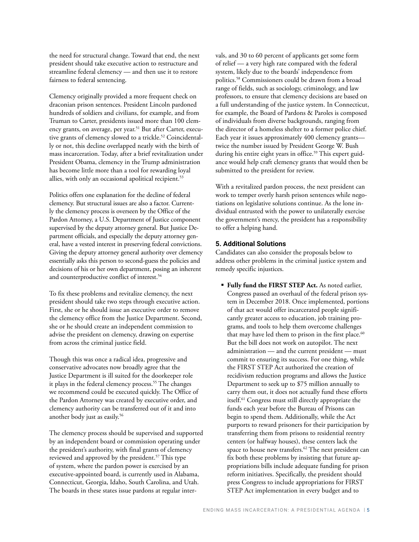the need for structural change. Toward that end, the next president should take executive action to restructure and streamline federal clemency — and then use it to restore fairness to federal sentencing.

Clemency originally provided a more frequent check on draconian prison sentences. President Lincoln pardoned hundreds of soldiers and civilians, for example, and from Truman to Carter, presidents issued more than 100 clemency grants, on average, per year.<sup>51</sup> But after Carter, executive grants of clemency slowed to a trickle.<sup>52</sup> Coincidentally or not, this decline overlapped neatly with the birth of mass incarceration. Today, after a brief revitalization under President Obama, clemency in the Trump administration has become little more than a tool for rewarding loyal allies, with only an occasional apolitical recipient.<sup>53</sup>

Politics offers one explanation for the decline of federal clemency. But structural issues are also a factor. Currently the clemency process is overseen by the Office of the Pardon Attorney, a U.S. Department of Justice component supervised by the deputy attorney general. But Justice Department officials, and especially the deputy attorney general, have a vested interest in preserving federal convictions. Giving the deputy attorney general authority over clemency essentially asks this person to second-guess the policies and decisions of his or her own department, posing an inherent and counterproductive conflict of interest.<sup>54</sup>

To fix these problems and revitalize clemency, the next president should take two steps through executive action. First, she or he should issue an executive order to remove the clemency office from the Justice Department. Second, she or he should create an independent commission to advise the president on clemency, drawing on expertise from across the criminal justice field.

Though this was once a radical idea, progressive and conservative advocates now broadly agree that the Justice Department is ill suited for the doorkeeper role it plays in the federal clemency process.<sup>55</sup> The changes we recommend could be executed quickly. The Office of the Pardon Attorney was created by executive order, and clemency authority can be transferred out of it and into another body just as easily.56

The clemency process should be supervised and supported by an independent board or commission operating under the president's authority, with final grants of clemency reviewed and approved by the president.<sup>57</sup> This type of system, where the pardon power is exercised by an executive-appointed board, is currently used in Alabama, Connecticut, Georgia, Idaho, South Carolina, and Utah. The boards in these states issue pardons at regular intervals, and 30 to 60 percent of applicants get some form of relief — a very high rate compared with the federal system, likely due to the boards' independence from politics.58 Commissioners could be drawn from a broad range of fields, such as sociology, criminology, and law professors, to ensure that clemency decisions are based on a full understanding of the justice system. In Connecticut, for example, the Board of Pardons & Paroles is composed of individuals from diverse backgrounds, ranging from the director of a homeless shelter to a former police chief. Each year it issues approximately 400 clemency grants twice the number issued by President George W. Bush during his entire eight years in office.<sup>59</sup> This expert guidance would help craft clemency grants that would then be submitted to the president for review.

With a revitalized pardon process, the next president can work to temper overly harsh prison sentences while negotiations on legislative solutions continue. As the lone individual entrusted with the power to unilaterally exercise the government's mercy, the president has a responsibility to offer a helping hand.

#### **5. Additional Solutions**

Candidates can also consider the proposals below to address other problems in the criminal justice system and remedy specific injustices.

 **Fully fund the FIRST STEP Act.** As noted earlier, Congress passed an overhaul of the federal prison system in December 2018. Once implemented, portions of that act would offer incarcerated people significantly greater access to education, job training programs, and tools to help them overcome challenges that may have led them to prison in the first place.<sup>60</sup> But the bill does not work on autopilot. The next administration — and the current president — must commit to ensuring its success. For one thing, while the FIRST STEP Act authorized the creation of recidivism reduction programs and allows the Justice Department to seek up to \$75 million annually to carry them out, it does not actually fund these efforts itself.61 Congress must still directly appropriate the funds each year before the Bureau of Prisons can begin to spend them. Additionally, while the Act purports to reward prisoners for their participation by transferring them from prisons to residential reentry centers (or halfway houses), these centers lack the space to house new transfers.<sup>62</sup> The next president can fix both these problems by insisting that future appropriations bills include adequate funding for prison reform initiatives. Specifically, the president should press Congress to include appropriations for FIRST STEP Act implementation in every budget and to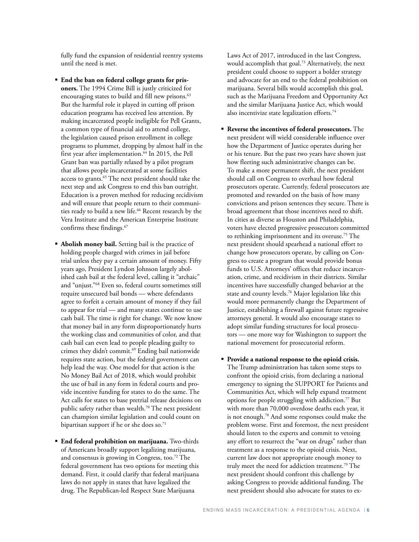fully fund the expansion of residential reentry systems until the need is met.

- **End the ban on federal college grants for prisoners.** The 1994 Crime Bill is justly criticized for encouraging states to build and fill new prisons.<sup>63</sup> But the harmful role it played in cutting off prison education programs has received less attention. By making incarcerated people ineligible for Pell Grants, a common type of financial aid to attend college, the legislation caused prison enrollment in college programs to plummet, dropping by almost half in the first year after implementation.<sup>64</sup> In 2015, the Pell Grant ban was partially relaxed by a pilot program that allows people incarcerated at some facilities access to grants.<sup>65</sup> The next president should take the next step and ask Congress to end this ban outright. Education is a proven method for reducing recidivism and will ensure that people return to their communities ready to build a new life.<sup>66</sup> Recent research by the Vera Institute and the American Enterprise Institute confirms these findings.<sup>67</sup>
- **Abolish money bail.** Setting bail is the practice of holding people charged with crimes in jail before trial unless they pay a certain amount of money. Fifty years ago, President Lyndon Johnson largely abolished cash bail at the federal level, calling it "archaic" and "unjust."68 Even so, federal courts sometimes still require unsecured bail bonds — where defendants agree to forfeit a certain amount of money if they fail to appear for trial — and many states continue to use cash bail. The time is right for change. We now know that money bail in any form disproportionately hurts the working class and communities of color, and that cash bail can even lead to people pleading guilty to crimes they didn't commit.<sup>69</sup> Ending bail nationwide requires state action, but the federal government can help lead the way. One model for that action is the No Money Bail Act of 2018, which would prohibit the use of bail in any form in federal courts and provide incentive funding for states to do the same. The Act calls for states to base pretrial release decisions on public safety rather than wealth.<sup>70</sup> The next president can champion similar legislation and could count on bipartisan support if he or she does so.<sup>71</sup>
- **End federal prohibition on marijuana.** Two-thirds of Americans broadly support legalizing marijuana, and consensus is growing in Congress, too.<sup>72</sup> The federal government has two options for meeting this demand. First, it could clarify that federal marijuana laws do not apply in states that have legalized the drug. The Republican-led Respect State Marijuana

Laws Act of 2017, introduced in the last Congress, would accomplish that goal.73 Alternatively, the next president could choose to support a bolder strategy and advocate for an end to the federal prohibition on marijuana. Several bills would accomplish this goal, such as the Marijuana Freedom and Opportunity Act and the similar Marijuana Justice Act, which would also incentivize state legalization efforts.<sup>74</sup>

- **Reverse the incentives of federal prosecutors.** The next president will wield considerable influence over how the Department of Justice operates during her or his tenure. But the past two years have shown just how fleeting such administrative changes can be. To make a more permanent shift, the next president should call on Congress to overhaul how federal prosecutors operate. Currently, federal prosecutors are promoted and rewarded on the basis of how many convictions and prison sentences they secure. There is broad agreement that those incentives need to shift. In cities as diverse as Houston and Philadelphia, voters have elected progressive prosecutors committed to rethinking imprisonment and its overuse.75 The next president should spearhead a national effort to change how prosecutors operate, by calling on Congress to create a program that would provide bonus funds to U.S. Attorneys' offices that reduce incarceration, crime, and recidivism in their districts. Similar incentives have successfully changed behavior at the state and county levels.<sup>76</sup> Major legislation like this would more permanently change the Department of Justice, establishing a firewall against future regressive attorneys general. It would also encourage states to adopt similar funding structures for local prosecutors — one more way for Washington to support the national movement for prosecutorial reform.
- **Provide a national response to the opioid crisis.** The Trump administration has taken some steps to confront the opioid crisis, from declaring a national emergency to signing the SUPPORT for Patients and Communities Act, which will help expand treatment options for people struggling with addiction.<sup>77</sup> But with more than 70,000 overdose deaths each year, it is not enough.78 And some responses could make the problem worse. First and foremost, the next president should listen to the experts and commit to vetoing any effort to resurrect the "war on drugs" rather than treatment as a response to the opioid crisis. Next, current law does not appropriate enough money to truly meet the need for addiction treatment.79 The next president should confront this challenge by asking Congress to provide additional funding. The next president should also advocate for states to ex-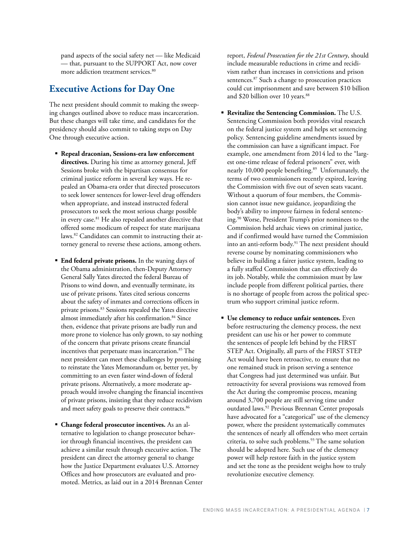pand aspects of the social safety net — like Medicaid — that, pursuant to the SUPPORT Act, now cover more addiction treatment services.<sup>80</sup>

# **Executive Actions for Day One**

The next president should commit to making the sweeping changes outlined above to reduce mass incarceration. But these changes will take time, and candidates for the presidency should also commit to taking steps on Day One through executive action.

- **Repeal draconian, Sessions-era law enforcement directives.** During his time as attorney general, Jeff Sessions broke with the bipartisan consensus for criminal justice reform in several key ways. He repealed an Obama-era order that directed prosecutors to seek lower sentences for lower-level drug offenders when appropriate, and instead instructed federal prosecutors to seek the most serious charge possible in every case.81 He also repealed another directive that offered some modicum of respect for state marijuana laws.82 Candidates can commit to instructing their attorney general to reverse these actions, among others.
- **End federal private prisons.** In the waning days of the Obama administration, then-Deputy Attorney General Sally Yates directed the federal Bureau of Prisons to wind down, and eventually terminate, its use of private prisons. Yates cited serious concerns about the safety of inmates and corrections officers in private prisons.83 Sessions repealed the Yates directive almost immediately after his confirmation.<sup>84</sup> Since then, evidence that private prisons are badly run and more prone to violence has only grown, to say nothing of the concern that private prisons create financial incentives that perpetuate mass incarceration.<sup>85</sup> The next president can meet these challenges by promising to reinstate the Yates Memorandum or, better yet, by committing to an even faster wind-down of federal private prisons. Alternatively, a more moderate approach would involve changing the financial incentives of private prisons, insisting that they reduce recidivism and meet safety goals to preserve their contracts.<sup>86</sup>
- **Change federal prosecutor incentives.** As an alternative to legislation to change prosecutor behavior through financial incentives, the president can achieve a similar result through executive action. The president can direct the attorney general to change how the Justice Department evaluates U.S. Attorney Offices and how prosecutors are evaluated and promoted. Metrics, as laid out in a 2014 Brennan Center

report, *Federal Prosecution for the 21st Century*, should include measurable reductions in crime and recidivism rather than increases in convictions and prison sentences.<sup>87</sup> Such a change to prosecution practices could cut imprisonment and save between \$10 billion and \$20 billion over 10 years.<sup>88</sup>

- **Revitalize the Sentencing Commission.** The U.S. Sentencing Commission both provides vital research on the federal justice system and helps set sentencing policy. Sentencing guideline amendments issued by the commission can have a significant impact. For example, one amendment from 2014 led to the "largest one-time release of federal prisoners" ever, with nearly 10,000 people benefiting.<sup>89</sup> Unfortunately, the terms of two commissioners recently expired, leaving the Commission with five out of seven seats vacant. Without a quorum of four members, the Commission cannot issue new guidance, jeopardizing the body's ability to improve fairness in federal sentencing.90 Worse, President Trump's prior nominees to the Commission held archaic views on criminal justice, and if confirmed would have turned the Commission into an anti-reform body.<sup>91</sup> The next president should reverse course by nominating commissioners who believe in building a fairer justice system, leading to a fully staffed Commission that can effectively do its job. Notably, while the commission must by law include people from different political parties, there is no shortage of people from across the political spectrum who support criminal justice reform.
- **Use clemency to reduce unfair sentences.** Even before restructuring the clemency process, the next president can use his or her power to commute the sentences of people left behind by the FIRST STEP Act. Originally, all parts of the FIRST STEP Act would have been retroactive, to ensure that no one remained stuck in prison serving a sentence that Congress had just determined was unfair. But retroactivity for several provisions was removed from the Act during the compromise process, meaning around 3,700 people are still serving time under outdated laws.<sup>92</sup> Previous Brennan Center proposals have advocated for a "categorical" use of the clemency power, where the president systematically commutes the sentences of nearly all offenders who meet certain criteria, to solve such problems.<sup>93</sup> The same solution should be adopted here. Such use of the clemency power will help restore faith in the justice system and set the tone as the president weighs how to truly revolutionize executive clemency.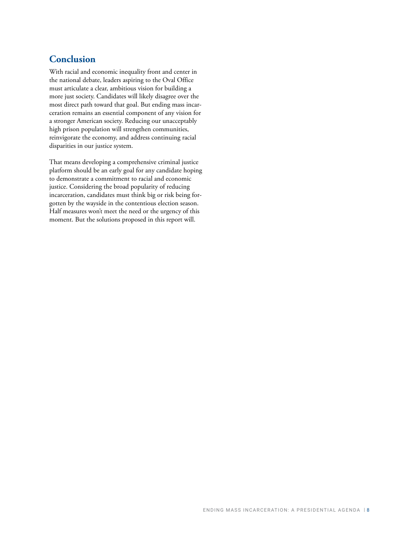# **Conclusion**

With racial and economic inequality front and center in the national debate, leaders aspiring to the Oval Office must articulate a clear, ambitious vision for building a more just society. Candidates will likely disagree over the most direct path toward that goal. But ending mass incarceration remains an essential component of any vision for a stronger American society. Reducing our unacceptably high prison population will strengthen communities, reinvigorate the economy, and address continuing racial disparities in our justice system.

That means developing a comprehensive criminal justice platform should be an early goal for any candidate hoping to demonstrate a commitment to racial and economic justice. Considering the broad popularity of reducing incarceration, candidates must think big or risk being forgotten by the wayside in the contentious election season. Half measures won't meet the need or the urgency of this moment. But the solutions proposed in this report will.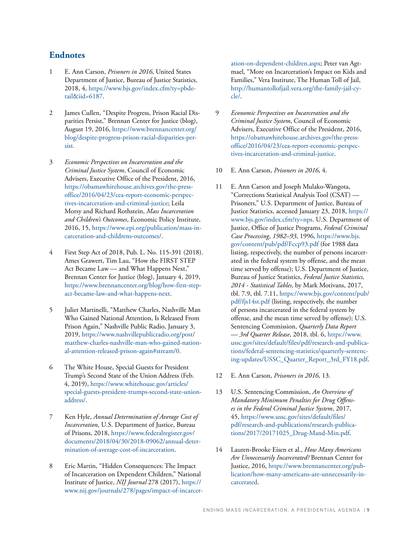### **Endnotes**

- 1 E. Ann Carson, *Prisoners in 2016*, United States Department of Justice, Bureau of Justice Statistics, 2018, 4, [https://www.bjs.gov/index.cfm?ty=pbde](https://www.bjs.gov/index.cfm?ty=pbdetail&iid=6187)[tail&iid=6187](https://www.bjs.gov/index.cfm?ty=pbdetail&iid=6187).
- 2 James Cullen, "Despite Progress, Prison Racial Disparities Persist," Brennan Center for Justice (blog), August 19, 2016, [https://www.brennancenter.org/](https://www.brennancenter.org/blog/despite-progress-prison-racial-disparities-persist) [blog/despite-progress-prison-racial-disparities-per](https://www.brennancenter.org/blog/despite-progress-prison-racial-disparities-persist)[sist.](https://www.brennancenter.org/blog/despite-progress-prison-racial-disparities-persist)
- 3 *Economic Perspectives on Incarceration and the Criminal Justice System*, Council of Economic Advisers, Executive Office of the President, 2016, [https://obamawhitehouse.archives.gov/the-press](https://obamawhitehouse.archives.gov/the-press-office/2016/04/23/cea-report-economic-perspectives-incarceration-and-criminal-justice)[office/2016/04/23/cea-report-economic-perspec](https://obamawhitehouse.archives.gov/the-press-office/2016/04/23/cea-report-economic-perspectives-incarceration-and-criminal-justice)[tives-incarceration-and-criminal-justice;](https://obamawhitehouse.archives.gov/the-press-office/2016/04/23/cea-report-economic-perspectives-incarceration-and-criminal-justice) Leila Morsy and Richard Rothstein, *Mass Incarceration and Children's Outcomes*, Economic Policy Institute, 2016, 15, [https://www.epi.org/publication/mass-in](https://www.epi.org/publication/mass-incarceration-and-childrens-outcomes/)[carceration-and-childrens-outcomes/](https://www.epi.org/publication/mass-incarceration-and-childrens-outcomes/).
- 4 First Step Act of 2018, Pub. L. No. 115-391 (2018). Ames Grawert, Tim Lau, "How the FIRST STEP Act Became Law — and What Happens Next," Brennan Center for Justice (blog), January 4, 2019, [https://www.brennancenter.org/blog/how-first-step](https://www.brennancenter.org/blog/how-first-step-act-became-law-and-what-happens-next)[act-became-law-and-what-happens-next](https://www.brennancenter.org/blog/how-first-step-act-became-law-and-what-happens-next).
- 5 Juliet Martinelli, "Matthew Charles, Nashville Man Who Gained National Attention, Is Released From Prison Again," Nashville Public Radio, January 3, 2019, https://www.nashvillepublicradio.org/post/ matthew-charles-nashville-man-who-gained-national-attention-released-prison-again#stream/0.
- 6 The White House, Special Guests for President Trump's Second State of the Union Address (Feb. 4, 2019), [https://www.whitehouse.gov/articles/](https://www.whitehouse.gov/articles/special-guests-president-trumps-second-state-union-address/) [special-guests-president-trumps-second-state-union](https://www.whitehouse.gov/articles/special-guests-president-trumps-second-state-union-address/)[address/](https://www.whitehouse.gov/articles/special-guests-president-trumps-second-state-union-address/).
- 7 Ken Hyle, *Annual Determination of Average Cost of Incarceration*, U.S. Department of Justice, Bureau of Prisons, 2018, [https://www.federalregister.gov/](https://www.federalregister.gov/documents/2018/04/30/2018-09062/annual-determination-of-average-cost-of-incarceration) [documents/2018/04/30/2018-09062/annual-deter](https://www.federalregister.gov/documents/2018/04/30/2018-09062/annual-determination-of-average-cost-of-incarceration)[mination-of-average-cost-of-incarceration.](https://www.federalregister.gov/documents/2018/04/30/2018-09062/annual-determination-of-average-cost-of-incarceration)
- 8 Eric Martin, "Hidden Consequences: The Impact of Incarceration on Dependent Children," National Institute of Justice, *NIJ Journal* 278 (2017), [https://](https://www.nij.gov/journals/278/pages/impact-of-incarceration-on-dependent-children.aspx) [www.nij.gov/journals/278/pages/impact-of-incarcer-](https://www.nij.gov/journals/278/pages/impact-of-incarceration-on-dependent-children.aspx)

[ation-on-dependent-children.aspx;](https://www.nij.gov/journals/278/pages/impact-of-incarceration-on-dependent-children.aspx) Peter van Agtmael, "More on Incarceration's Impact on Kids and Families," Vera Institute, The Human Toll of Jail, [http://humantollofjail.vera.org/the-family-jail-cy](http://humantollofjail.vera.org/the-family-jail-cycle/)[cle/](http://humantollofjail.vera.org/the-family-jail-cycle/).

- 9 *Economic Perspectives on Incarceration and the Criminal Justice System*, Council of Economic Advisers, Executive Office of the President, 2016, [https://obamawhitehouse.archives.gov/the-press](https://obamawhitehouse.archives.gov/the-press-office/2016/04/23/cea-report-economic-perspectives-incarceration-and-criminal-justice)[office/2016/04/23/cea-report-economic-perspec](https://obamawhitehouse.archives.gov/the-press-office/2016/04/23/cea-report-economic-perspectives-incarceration-and-criminal-justice)[tives-incarceration-and-criminal-justice.](https://obamawhitehouse.archives.gov/the-press-office/2016/04/23/cea-report-economic-perspectives-incarceration-and-criminal-justice)
- 10 E. Ann Carson, *Prisoners in 2016*, 4.
- 11 E. Ann Carson and Joseph Mulako-Wangota, "Corrections Statistical Analysis Tool (CSAT) — Prisoners," U.S. Department of Justice, Bureau of Justice Statistics, accessed January 23, 2018, [https://](https://www.bjs.gov/index.cfm?ty=nps) [www.bjs.gov/index.cfm?ty=nps.](https://www.bjs.gov/index.cfm?ty=nps) U.S. Department of Justice, Office of Justice Programs, *Federal Criminal Case Processing*, *1982–93*, 1996, [https://www.bjs.](https://www.bjs.gov/content/pub/pdf/Fccp93.pdf) [gov/content/pub/pdf/Fccp93.pdf](https://www.bjs.gov/content/pub/pdf/Fccp93.pdf) (for 1988 data listing, respectively, the number of persons incarcerated in the federal system by offense, and the mean time served by offense); U.S. Department of Justice, Bureau of Justice Statistics, *Federal Justice Statistics, 2014 - Statistical Tables*, by Mark Motivans, 2017, tbl. 7.9, tbl. 7.11, [https://www.bjs.gov/content/pub/](https://www.bjs.gov/content/pub/pdf/fjs14st.pdf) [pdf/fjs14st.pdf](https://www.bjs.gov/content/pub/pdf/fjs14st.pdf) (listing, respectively, the number of persons incarcerated in the federal system by offense, and the mean time served by offense); U.S. Sentencing Commission, *Quarterly Data Report — 3rd Quarter Release*, 2018, tbl. 6, [https://www.](https://www.ussc.gov/sites/default/files/pdf/research-and-publications/federal-sentencing-statistics/quarterly-sentencing-updates/USSC_Quarter_Report_3rd_FY18.pdf) [ussc.gov/sites/default/files/pdf/research-and-publica](https://www.ussc.gov/sites/default/files/pdf/research-and-publications/federal-sentencing-statistics/quarterly-sentencing-updates/USSC_Quarter_Report_3rd_FY18.pdf)[tions/federal-sentencing-statistics/quarterly-sentenc](https://www.ussc.gov/sites/default/files/pdf/research-and-publications/federal-sentencing-statistics/quarterly-sentencing-updates/USSC_Quarter_Report_3rd_FY18.pdf)[ing-updates/USSC\\_Quarter\\_Report\\_3rd\\_FY18.pdf](https://www.ussc.gov/sites/default/files/pdf/research-and-publications/federal-sentencing-statistics/quarterly-sentencing-updates/USSC_Quarter_Report_3rd_FY18.pdf).
- 12 E. Ann Carson, *Prisoners in 2016*, 13.
- 13 U.S. Sentencing Commission, *An Overview of Mandatory Minimum Penalties for Drug Offenses in the Federal Criminal Justice System*, 2017, 45, [https://www.ussc.gov/sites/default/files/](https://www.ussc.gov/sites/default/files/pdf/research-and-publications/research-publications/2017/20171025_Drug-Mand-Min.pdf) [pdf/research-and-publications/research-publica](https://www.ussc.gov/sites/default/files/pdf/research-and-publications/research-publications/2017/20171025_Drug-Mand-Min.pdf)[tions/2017/20171025\\_Drug-Mand-Min.pdf.](https://www.ussc.gov/sites/default/files/pdf/research-and-publications/research-publications/2017/20171025_Drug-Mand-Min.pdf)
- 14 Lauren-Brooke Eisen et al., *How Many Americans Are Unnecessarily Incarcerated?* Brennan Center for Justice, 2016, [https://www.brennancenter.org/pub](https://www.brennancenter.org/publication/how-many-americans-are-unnecessarily-incarcerated)[lication/how-many-americans-are-unnecessarily-in](https://www.brennancenter.org/publication/how-many-americans-are-unnecessarily-incarcerated)[carcerated](https://www.brennancenter.org/publication/how-many-americans-are-unnecessarily-incarcerated).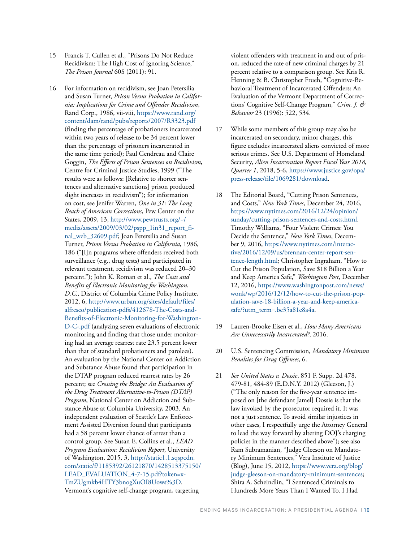- 15 Francis T. Cullen et al., "Prisons Do Not Reduce Recidivism: The High Cost of Ignoring Science," *The Prison Journal* 60S (2011): 91.
- 16 For information on recidivism, see Joan Petersilia and Susan Turner, *Prison Versus Probation in California: Implications for Crime and Offender Recidivism*, Rand Corp., 1986, vii-viii, [https://www.rand.org/](https://www.rand.org/content/dam/rand/pubs/reports/2007/R3323.pdf) [content/dam/rand/pubs/reports/2007/R3323.pdf](https://www.rand.org/content/dam/rand/pubs/reports/2007/R3323.pdf) (finding the percentage of probationers incarcerated within two years of release to be 34 percent lower than the percentage of prisoners incarcerated in the same time period); Paul Gendreau and Claire Goggin, *The Effects of Prison Sentences on Recidivism*, Centre for Criminal Justice Studies, 1999 ("The results were as follows: [Relative to shorter sentences and alternative sanctions] prison produced slight increases in recidivism"); for information on cost, see Jenifer Warren, *One in 31: The Long Reach of American Corrections*, Pew Center on the States, 2009, 13, [http://www.pewtrusts.org/~/](http://www.pewtrusts.org/~/media/assets/2009/03/02/pspp_1in31_report_final_web_32609.pdf) [media/assets/2009/03/02/pspp\\_1in31\\_report\\_fi](http://www.pewtrusts.org/~/media/assets/2009/03/02/pspp_1in31_report_final_web_32609.pdf)[nal\\_web\\_32609.pdf](http://www.pewtrusts.org/~/media/assets/2009/03/02/pspp_1in31_report_final_web_32609.pdf); Joan Petersilia and Susan Turner, *Prison Versus Probation in California*, 1986, 186 ("[I]n programs where offenders received both surveillance (e.g., drug tests) and participated in relevant treatment, recidivism was reduced 20–30 percent."); John K. Roman et al., *The Costs and Benefits of Electronic Monitoring for Washington*, *D.C.*, District of Columbia Crime Policy Institute, 2012, 6, [http://www.urban.org/sites/default/files/](http://www.urban.org/sites/default/files/alfresco/publication-pdfs/412678-The-Costs-and-Benefits-of-Electronic-Monitoring-for-Washington-D-C-.pdfF) [alfresco/publication-pdfs/412678-The-Costs-and-](http://www.urban.org/sites/default/files/alfresco/publication-pdfs/412678-The-Costs-and-Benefits-of-Electronic-Monitoring-for-Washington-D-C-.pdfF)[Benefits-of-Electronic-Monitoring-for-Washington-](http://www.urban.org/sites/default/files/alfresco/publication-pdfs/412678-The-Costs-and-Benefits-of-Electronic-Monitoring-for-Washington-D-C-.pdfF)[D-C-.pdf](http://www.urban.org/sites/default/files/alfresco/publication-pdfs/412678-The-Costs-and-Benefits-of-Electronic-Monitoring-for-Washington-D-C-.pdfF) (analyzing seven evaluations of electronic monitoring and finding that those under monitoring had an average rearrest rate 23.5 percent lower than that of standard probationers and parolees). An evaluation by the National Center on Addiction and Substance Abuse found that participation in the DTAP program reduced rearrest rates by 26 percent; see *Crossing the Bridge: An Evaluation of the Drug Treatment Alternative-to-Prison (DTAP) Program*, National Center on Addiction and Substance Abuse at Columbia University, 2003. An independent evaluation of Seattle's Law Enforcement Assisted Diversion found that participants had a 58 percent lower chance of arrest than a control group. See Susan E. Collins et al., *LEAD Program Evaluation: Recidivism Report*, University of Washington, 2015, 3, [http://static1.1.sqspcdn.](http://static1.1.sqspcdn.com/static/f/1185392/26121870/1428513375150/LEAD_EVALUATION_4-7-15.pdf?token=xTmZUgmkb4HTY3bnogXuOI8Uows%3D) [com/static/f/1185392/26121870/1428513375150/](http://static1.1.sqspcdn.com/static/f/1185392/26121870/1428513375150/LEAD_EVALUATION_4-7-15.pdf?token=xTmZUgmkb4HTY3bnogXuOI8Uows%3D) [LEAD\\_EVALUATION\\_4-7-15.pdf?token=x-](http://static1.1.sqspcdn.com/static/f/1185392/26121870/1428513375150/LEAD_EVALUATION_4-7-15.pdf?token=xTmZUgmkb4HTY3bnogXuOI8Uows%3D)[TmZUgmkb4HTY3bnogXuOI8Uows%3D.](http://static1.1.sqspcdn.com/static/f/1185392/26121870/1428513375150/LEAD_EVALUATION_4-7-15.pdf?token=xTmZUgmkb4HTY3bnogXuOI8Uows%3D) Vermont's cognitive self-change program, targeting

violent offenders with treatment in and out of prison, reduced the rate of new criminal charges by 21 percent relative to a comparison group. See Kris R. Henning & B. Christopher Frueh, "Cognitive-Behavioral Treatment of Incarcerated Offenders: An Evaluation of the Vermont Department of Corrections' Cognitive Self-Change Program," *Crim. J. & Behavior* 23 (1996): 522, 534.

- 17 While some members of this group may also be incarcerated on secondary, minor charges, this figure excludes incarcerated aliens convicted of more serious crimes. See U.S. Department of Homeland Security, *Alien Incarceration Report Fiscal Year 2018, Quarter 1*, 2018, 5-6, [https://www.justice.gov/opa/](https://www.justice.gov/opa/press-release/file/1069281/download) [press-release/file/1069281/download.](https://www.justice.gov/opa/press-release/file/1069281/download)
- 18 The Editorial Board, "Cutting Prison Sentences, and Costs," *New York Times*, December 24, 2016, [https://www.nytimes.com/2016/12/24/opinion/](https://www.nytimes.com/2016/12/24/opinion/sunday/cutting-prison-sentences-and-costs.html) [sunday/cutting-prison-sentences-and-costs.html.](https://www.nytimes.com/2016/12/24/opinion/sunday/cutting-prison-sentences-and-costs.html) Timothy Williams, "Four Violent Crimes: You Decide the Sentence," *New York Times*, December 9, 2016, [https://www.nytimes.com/interac](https://www.nytimes.com/interactive/2016/12/09/us/brennan-center-report-sentence-length.html)[tive/2016/12/09/us/brennan-center-report-sen](https://www.nytimes.com/interactive/2016/12/09/us/brennan-center-report-sentence-length.html)[tence-length.html;](https://www.nytimes.com/interactive/2016/12/09/us/brennan-center-report-sentence-length.html) Christopher Ingraham, "How to Cut the Prison Population, Save \$18 Billion a Year and Keep America Safe," *Washington Post*, December 12, 2016, [https://www.washingtonpost.com/news/](https://www.washingtonpost.com/news/wonk/wp/2016/12/12/how-to-cut-the-prison-population-save-18-billion-a-year-and-keep-america-safe/?utm_term=.be35a81e8a4a) [wonk/wp/2016/12/12/how-to-cut-the-prison-pop](https://www.washingtonpost.com/news/wonk/wp/2016/12/12/how-to-cut-the-prison-population-save-18-billion-a-year-and-keep-america-safe/?utm_term=.be35a81e8a4a)[ulation-save-18-billion-a-year-and-keep-america](https://www.washingtonpost.com/news/wonk/wp/2016/12/12/how-to-cut-the-prison-population-save-18-billion-a-year-and-keep-america-safe/?utm_term=.be35a81e8a4a)[safe/?utm\\_term=.be35a81e8a4a](https://www.washingtonpost.com/news/wonk/wp/2016/12/12/how-to-cut-the-prison-population-save-18-billion-a-year-and-keep-america-safe/?utm_term=.be35a81e8a4a).
- 19 Lauren-Brooke Eisen et al., *How Many Americans Are Unnecessarily Incarcerated?*, 2016.
- 20 U.S. Sentencing Commission, *Mandatory Minimum Penalties for Drug Offenses*, 6.
- 21 *See United States v. Dossie*, 851 F. Supp. 2d 478, 479-81, 484-89 (E.D.N.Y. 2012) (Gleeson, J.) ("The only reason for the five-year sentence imposed on [the defendant Jamel] Dossie is that the law invoked by the prosecutor required it. It was not a just sentence. To avoid similar injustices in other cases, I respectfully urge the Attorney General to lead the way forward by altering DOJ's charging policies in the manner described above"); see also Ram Subramanian, "Judge Gleeson on Mandatory Minimum Sentences," Vera Institute of Justice (Blog), June 15, 2012, [https://www.vera.org/blog/](https://www.vera.org/blog/judge-gleeson-on-mandatory-minimum-sentences) [judge-gleeson-on-mandatory-minimum-sentences](https://www.vera.org/blog/judge-gleeson-on-mandatory-minimum-sentences); Shira A. Scheindlin, "I Sentenced Criminals to Hundreds More Years Than I Wanted To. I Had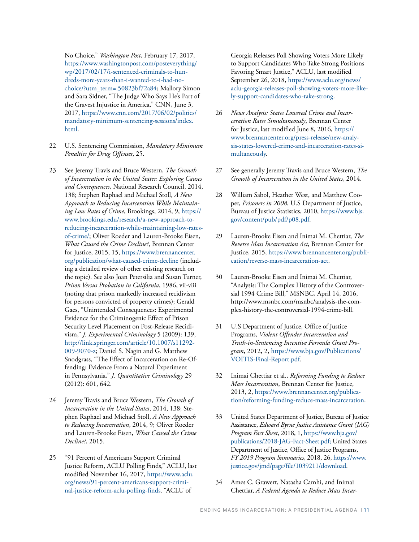No Choice," *Washington Post*, February 17, 2017, [https://www.washingtonpost.com/posteverything/](https://www.washingtonpost.com/posteverything/wp/2017/02/17/i-sentenced-criminals-to-hundreds-more-years-than-i-wanted-to-i-had-no-choice/?utm_term=.50823bf72a84) [wp/2017/02/17/i-sentenced-criminals-to-hun](https://www.washingtonpost.com/posteverything/wp/2017/02/17/i-sentenced-criminals-to-hundreds-more-years-than-i-wanted-to-i-had-no-choice/?utm_term=.50823bf72a84)[dreds-more-years-than-i-wanted-to-i-had-no](https://www.washingtonpost.com/posteverything/wp/2017/02/17/i-sentenced-criminals-to-hundreds-more-years-than-i-wanted-to-i-had-no-choice/?utm_term=.50823bf72a84)[choice/?utm\\_term=.50823bf72a84](https://www.washingtonpost.com/posteverything/wp/2017/02/17/i-sentenced-criminals-to-hundreds-more-years-than-i-wanted-to-i-had-no-choice/?utm_term=.50823bf72a84); Mallory Simon and Sara Sidner, "The Judge Who Says He's Part of the Gravest Injustice in America," CNN, June 3, 2017, [https://www.cnn.com/2017/06/02/politics/](https://www.cnn.com/2017/06/02/politics/mandatory-minimum-sentencing-sessions/index.html) [mandatory-minimum-sentencing-sessions/index.](https://www.cnn.com/2017/06/02/politics/mandatory-minimum-sentencing-sessions/index.html) [html](https://www.cnn.com/2017/06/02/politics/mandatory-minimum-sentencing-sessions/index.html).

- 22 U.S. Sentencing Commission, *Mandatory Minimum Penalties for Drug Offenses*, 25.
- 23 See Jeremy Travis and Bruce Western, *The Growth of Incarceration in the United States: Exploring Causes and Consequences*, National Research Council, 2014, 138; Stephen Raphael and Michael Stoll, *A New Approach to Reducing Incarceration While Maintaining Low Rates of Crime*, Brookings, 2014, 9, [https://](https://www.brookings.edu/research/a-new-approach-to-reducing-incarceration-while-maintaining-low-rates-of-crime/) [www.brookings.edu/research/a-new-approach-to](https://www.brookings.edu/research/a-new-approach-to-reducing-incarceration-while-maintaining-low-rates-of-crime/)[reducing-incarceration-while-maintaining-low-rates](https://www.brookings.edu/research/a-new-approach-to-reducing-incarceration-while-maintaining-low-rates-of-crime/)[of-crime/](https://www.brookings.edu/research/a-new-approach-to-reducing-incarceration-while-maintaining-low-rates-of-crime/); Oliver Roeder and Lauren-Brooke Eisen, *What Caused the Crime Decline?*, Brennan Center for Justice, 2015, 15, [https://www.brennancenter.](https://www.brennancenter.org/publication/what-caused-crime-decline) [org/publication/what-caused-crime-decline](https://www.brennancenter.org/publication/what-caused-crime-decline) (including a detailed review of other existing research on the topic). See also Joan Petersilia and Susan Turner, *Prison Versus Probation in California*, 1986, vii-viii (noting that prison markedly increased recidivism for persons convicted of property crimes); Gerald Gaes, "Unintended Consequences: Experimental Evidence for the Criminogenic Effect of Prison Security Level Placement on Post-Release Recidivism," *J. Experimental Criminology* 5 (2009): 139, [http://link.springer.com/article/10.1007/s11292-](http://link.springer.com/article/10.1007/s11292-009-9070-z) [009-9070-z;](http://link.springer.com/article/10.1007/s11292-009-9070-z) Daniel S. Nagin and G. Matthew Snodgrass, "The Effect of Incarceration on Re-Offending: Evidence From a Natural Experiment in Pennsylvania," *J. Quantitative Criminology* 29 (2012): 601, 642.
- 24 Jeremy Travis and Bruce Western, *The Growth of Incarceration in the United States*, 2014, 138; Stephen Raphael and Michael Stoll, *A New Approach to Reducing Incarceration*, 2014, 9; Oliver Roeder and Lauren-Brooke Eisen, *What Caused the Crime Decline?*, 2015.
- 25 "91 Percent of Americans Support Criminal Justice Reform, ACLU Polling Finds," ACLU, last modified November 16, 2017, [https://www.aclu.](https://www.aclu.org/news/91-percent-americans-support-criminal-justice-reform-aclu-polling-finds) [org/news/91-percent-americans-support-crimi](https://www.aclu.org/news/91-percent-americans-support-criminal-justice-reform-aclu-polling-finds)[nal-justice-reform-aclu-polling-finds.](https://www.aclu.org/news/91-percent-americans-support-criminal-justice-reform-aclu-polling-finds) "ACLU of

Georgia Releases Poll Showing Voters More Likely to Support Candidates Who Take Strong Positions Favoring Smart Justice," ACLU, last modified September 26, 2018, https://www.aclu[.org/news/](http://assets.lapdonline.org/assets/pdf/123117cityprof.pdf) [acl](http://assets.lapdonline.org/assets/pdf/123117cityprof.pdf)u-georgia-releases-poll-showing-voters-more-likely-support-candidates-who-take-strong.

- 26 *News Analysis: States Lowered Crime and Incarceration Rates Simultaneously*, Brennan Center for Justice, last modified June 8, 2016, [https://](https://newrepublic.com/article/148307/man-hates-criminal-justice-reform) [www.brennancenter.org/press-release/new-analy](https://newrepublic.com/article/148307/man-hates-criminal-justice-reform)[sis-states-lowered-crime-and-incarceration-rates-si](https://newrepublic.com/article/148307/man-hates-criminal-justice-reform)[multaneously](https://newrepublic.com/article/148307/man-hates-criminal-justice-reform).
- 27 See generally Jeremy Travis and Bruce Western, *The Growth of Incarceration in the United States*, 2014.
- 28 William Sabol, Heather West, and Matthew Cooper, *Prisoners in 2008*, U.S Department of Justice, Bureau of Justice Statistics, 2010, [https://www.bjs.](https://www.bjs.gov/content/pub/pdf/p08.pdf) [gov/content/pub/pdf/p08.pdf](https://www.bjs.gov/content/pub/pdf/p08.pdf).
- 29 Lauren-Brooke Eisen and Inimai M. Chettiar, *The Reverse Mass Incarceration Act*, Brennan Center for Justice, 2015, [https://www.brennancenter.org/publi](https://www.brennancenter.org/publication/reverse-mass-incarceration-act)[cation/reverse-mass-incarceration-act.](https://www.brennancenter.org/publication/reverse-mass-incarceration-act)
- 30 Lauren-Brooke Eisen and Inimai M. Chettiar, "Analysis: The Complex History of the Controversial 1994 Crime Bill," MSNBC, April 14, 2016, [http://www.msnbc.com/msnbc/analysis-the-com](http://www.msnbc.com/msnbc/analysis-the-complex-history-the-controversial-1994-crime-bill)[plex-history-the-controversial-1994-crime-bill.](http://www.msnbc.com/msnbc/analysis-the-complex-history-the-controversial-1994-crime-bill)
- 31 U.S Department of Justice, Office of Justice Programs, *Violent Offender Incarceration and Truth-in-Sentencing Incentive Formula Grant Program*, 2012, 2, [https://www.bja.gov/Publications/](https://www.bja.gov/Publications/VOITIS-Final-Report.pdf) [VOITIS-Final-Report.pdf](https://www.bja.gov/Publications/VOITIS-Final-Report.pdf).
- 32 Inimai Chettiar et al., *Reforming Funding to Reduce Mass Incarceration*, Brennan Center for Justice, 2013, 2, [https://www.brennancenter.org/publica](https://www.brennancenter.org/publication/reforming-funding-reduce-mass-incarceration)[tion/reforming-funding-reduce-mass-incarceration](https://www.brennancenter.org/publication/reforming-funding-reduce-mass-incarceration).
- 33 United States Department of Justice, Bureau of Justice Assistance, *Edward Byrne Justice Assistance Grant (JAG) Program Fact Sheet*, 2018, 1, [https://www.bja.gov/](https://www.bja.gov/publications/2018-JAG-Fact-Sheet.pdf) [publications/2018-JAG-Fact-Sheet.pdf;](https://www.bja.gov/publications/2018-JAG-Fact-Sheet.pdf) United States Department of Justice, Office of Justice Programs, *FY 2019 Program Summaries*, 2018, 26, [https://www.](https://www.justice.gov/jmd/page/file/1039211/download) [justice.gov/jmd/page/file/1039211/download.](https://www.justice.gov/jmd/page/file/1039211/download)
- 34 Ames C. Grawert, Natasha Camhi, and Inimai Chettiar, *A Federal Agenda to Reduce Mass Incar-*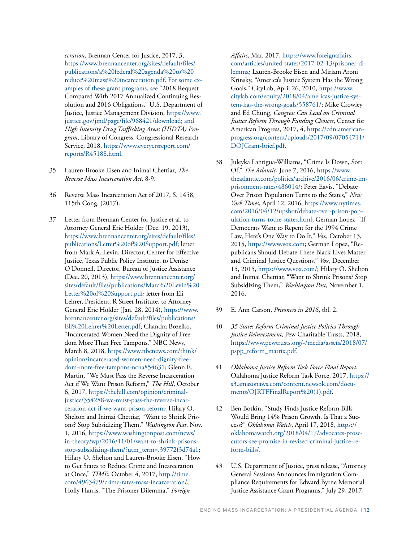*ceration*, Brennan Center for Justice, 2017, 3, [https://www.brennancenter.org/sites/default/files/](https://www.brennancenter.org/sites/default/files/publications/a%20federal%20agenda%20to%20reduce%20mass%20incarceration.pdf) [publications/a%20federal%20agenda%20to%20](https://www.brennancenter.org/sites/default/files/publications/a%20federal%20agenda%20to%20reduce%20mass%20incarceration.pdf) [reduce%20mass%20incarceration.pdf.](https://www.brennancenter.org/sites/default/files/publications/a%20federal%20agenda%20to%20reduce%20mass%20incarceration.pdf) For some examples of these grant programs, see "2018 Request Compared With 2017 Annualized Continuing Resolution and 2016 Obligations," U.S. Department of Justice, Justice Management Division, [https://www.](https://www.justice.gov/jmd/page/file/968421/download) [justice.gov/jmd/page/file/968421/download](https://www.justice.gov/jmd/page/file/968421/download); and *High Intensity Drug Trafficking Areas (HIDTA) Program*, Library of Congress, Congressional Research Service, 2018, [https://www.everycrsreport.com/](https://www.everycrsreport.com/reports/R45188.html) [reports/R45188.html](https://www.everycrsreport.com/reports/R45188.html).

- 35 Lauren-Brooke Eisen and Inimai Chettiar, *The Reverse Mass Incarceration Act*, 8-9.
- 36 Reverse Mass Incarceration Act of 2017, S. 1458, 115th Cong. (2017).
- 37 Letter from Brennan Center for Justice et al. to Attorney General Eric Holder (Dec. 19, 2013), [https://www.brennancenter.org/sites/default/files/](https://www.brennancenter.org/sites/default/files/publications/Letter%20of%20Support.pdf) [publications/Letter%20of%20Support.pdf](https://www.brennancenter.org/sites/default/files/publications/Letter%20of%20Support.pdf); letter from Mark A. Levin, Director, Center for Effective Justice, Texas Public Policy Institute, to Denise O'Donnell, Director, Bureau of Justice Assistance (Dec. 20, 2013), [https://www.brennancenter.org/](https://www.brennancenter.org/sites/default/files/publications/Marc%20Levin%20Letter%20of%20Support.pdf) [sites/default/files/publications/Marc%20Levin%20](https://www.brennancenter.org/sites/default/files/publications/Marc%20Levin%20Letter%20of%20Support.pdf) [Letter%20of%20Support.pdf;](https://www.brennancenter.org/sites/default/files/publications/Marc%20Levin%20Letter%20of%20Support.pdf) letter from Eli Lehrer, President, R Street Institute, to Attorney General Eric Holder (Jan. 28, 2014), [https://www.](https://www.brennancenter.org/sites/default/files/publications/Eli%20Lehrer%20Letter.pdf) [brennancenter.org/sites/default/files/publications/](https://www.brennancenter.org/sites/default/files/publications/Eli%20Lehrer%20Letter.pdf) [Eli%20Lehrer%20Letter.pdf](https://www.brennancenter.org/sites/default/files/publications/Eli%20Lehrer%20Letter.pdf); Chandra Bozelko, "Incarcerated Women Need the Dignity of Freedom More Than Free Tampons," NBC News, March 8, 2018, [https://www.nbcnews.com/think/](https://www.nbcnews.com/think/opinion/incarcerated-women-need-dignity-freedom-more-free-tampons-ncna854631) [opinion/incarcerated-women-need-dignity-free](https://www.nbcnews.com/think/opinion/incarcerated-women-need-dignity-freedom-more-free-tampons-ncna854631)[dom-more-free-tampons-ncna854631;](https://www.nbcnews.com/think/opinion/incarcerated-women-need-dignity-freedom-more-free-tampons-ncna854631) Glenn E. Martin, "We Must Pass the Reverse Incarceration Act if We Want Prison Reform," *The Hill*, October 6, 2017, [https://thehill.com/opinion/criminal](https://thehill.com/opinion/criminal-justice/354288-we-must-pass-the-reverse-incarceration-act-if-we-want-prison-reform)[justice/354288-we-must-pass-the-reverse-incar](https://thehill.com/opinion/criminal-justice/354288-we-must-pass-the-reverse-incarceration-act-if-we-want-prison-reform)[ceration-act-if-we-want-prison-reform](https://thehill.com/opinion/criminal-justice/354288-we-must-pass-the-reverse-incarceration-act-if-we-want-prison-reform); Hilary O. Shelton and Inimai Chettiar, "Want to Shrink Prisons? Stop Subsidizing Them," *Washington Post*, Nov. 1, 2016, [https://www.washingtonpost.com/news/](https://www.washingtonpost.com/news/in-theory/wp/2016/11/01/want-to-shrink-prisons-stop-subsidizing-them/?utm_term=.39772f3d74a1) [in-theory/wp/2016/11/01/want-to-shrink-prisons](https://www.washingtonpost.com/news/in-theory/wp/2016/11/01/want-to-shrink-prisons-stop-subsidizing-them/?utm_term=.39772f3d74a1)[stop-subsidizing-them/?utm\\_term=.39772f3d74a1](https://www.washingtonpost.com/news/in-theory/wp/2016/11/01/want-to-shrink-prisons-stop-subsidizing-them/?utm_term=.39772f3d74a1); Hilary O. Shelton and Lauren-Brooke Eisen, "How to Get States to Reduce Crime and Incarceration at Once," *TIME*, October 4, 2017, [http://time.](http://time.com/4963479/crime-rates-mass-incarceration/) [com/4963479/crime-rates-mass-incarceration/;](http://time.com/4963479/crime-rates-mass-incarceration/) Holly Harris, "The Prisoner Dilemma," *Foreign*

*Affairs*, Mar. 2017, [https://www.foreignaffairs.](https://www.foreignaffairs.com/articles/united-states/2017-02-13/prisoner-dilemma) [com/articles/united-states/2017-02-13/prisoner-di](https://www.foreignaffairs.com/articles/united-states/2017-02-13/prisoner-dilemma)[lemma;](https://www.foreignaffairs.com/articles/united-states/2017-02-13/prisoner-dilemma) Lauren-Brooke Eisen and Miriam Aroni Krinsky, "America's Justice System Has the Wrong Goals," CityLab, April 26, 2010, [https://www.](https://www.citylab.com/equity/2018/04/americas-justice-system-has-the-wrong-goals/558761/) [citylab.com/equity/2018/04/americas-justice-sys](https://www.citylab.com/equity/2018/04/americas-justice-system-has-the-wrong-goals/558761/)[tem-has-the-wrong-goals/558761/;](https://www.citylab.com/equity/2018/04/americas-justice-system-has-the-wrong-goals/558761/) Mike Crowley and Ed Chung, *Congress Can Lead on Criminal Justice Reform Through Funding Choices*, Center for American Progress, 2017, 4, [https://cdn.american](https://cdn.americanprogress.org/content/uploads/2017/09/07054711/DOJGrant-brief.pdf)[progress.org/content/uploads/2017/09/07054711/](https://cdn.americanprogress.org/content/uploads/2017/09/07054711/DOJGrant-brief.pdf) [DOJGrant-brief.pdf.](https://cdn.americanprogress.org/content/uploads/2017/09/07054711/DOJGrant-brief.pdf)

- 38 Juleyka Lantigua-Williams, "Crime Is Down, Sort Of," *The Atlantic*, June 7, 2016, [https://www.](https://www.theatlantic.com/politics/archive/2016/06/crime-imprisonment-rates/486014/) [theatlantic.com/politics/archive/2016/06/crime-im](https://www.theatlantic.com/politics/archive/2016/06/crime-imprisonment-rates/486014/)[prisonment-rates/486014/](https://www.theatlantic.com/politics/archive/2016/06/crime-imprisonment-rates/486014/); Peter Eavis, "Debate Over Prison Population Turns to the States," *New York Times*, April 12, 2016, [https://www.nytimes.](https://www.nytimes.com/2016/04/12/upshot/debate-over-prison-population-turns-tothe-states.html) [com/2016/04/12/upshot/debate-over-prison-pop](https://www.nytimes.com/2016/04/12/upshot/debate-over-prison-population-turns-tothe-states.html)[ulation-turns-tothe-states.html](https://www.nytimes.com/2016/04/12/upshot/debate-over-prison-population-turns-tothe-states.html); German Lopez, "If Democrats Want to Repent for the 1994 Crime Law, Here's One Way to Do It," *Vox*, October 13, 2015,<https://www.vox.com>; German Lopez, "Republicans Should Debate These Black Lives Matter and Criminal Justice Questions," *Vox*, December 15, 2015, [https://www.vox.com/;](https://www.vox.com/) Hilary O. Shelton and Inimai Chettiar, "Want to Shrink Prisons? Stop Subsidizing Them," *Washington Post*, November 1, 2016.
- 39 E. Ann Carson, *Prisoners in 2016*, tbl. 2.
- 40 *35 States Reform Criminal Justice Policies Through Justice Reinvestment*, Pew Charitable Trusts, 2018, [https://www.pewtrusts.org/-/media/assets/2018/07/](https://www.pewtrusts.org/-/media/assets/2018/07/pspp_reform_matrix.pdf) [pspp\\_reform\\_matrix.pdf.](https://www.pewtrusts.org/-/media/assets/2018/07/pspp_reform_matrix.pdf)
- 41 *Oklahoma Justice Reform Task Force Final Report*, Oklahoma Justice Reform Task Force, 2017, [https://](https://s3.amazonaws.com/content.newsok.com/documents/OJRTFFinalReport%20(1).pdf) [s3.amazonaws.com/content.newsok.com/docu](https://s3.amazonaws.com/content.newsok.com/documents/OJRTFFinalReport%20(1).pdf)[ments/OJRTFFinalReport%20\(1\).pdf.](https://s3.amazonaws.com/content.newsok.com/documents/OJRTFFinalReport%20(1).pdf)
- 42 Ben Botkin, "Study Finds Justice Reform Bills Would Bring 14% Prison Growth. Is That a Success?" *Oklahoma Watch*, April 17, 2018, [https://](https://oklahomawatch.org/2018/04/17/advocates-prosecutors-see-promise-in-revised-criminal-justice-reform-bills/) [oklahomawatch.org/2018/04/17/advocates-prose](https://oklahomawatch.org/2018/04/17/advocates-prosecutors-see-promise-in-revised-criminal-justice-reform-bills/)[cutors-see-promise-in-revised-criminal-justice-re](https://oklahomawatch.org/2018/04/17/advocates-prosecutors-see-promise-in-revised-criminal-justice-reform-bills/)[form-bills/.](https://oklahomawatch.org/2018/04/17/advocates-prosecutors-see-promise-in-revised-criminal-justice-reform-bills/)
- 43 U.S. Department of Justice, press release, "Attorney General Sessions Announces Immigration Compliance Requirements for Edward Byrne Memorial Justice Assistance Grant Programs," July 29, 2017,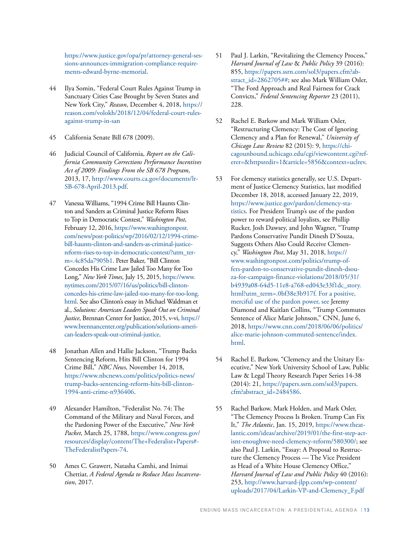[https://www.justice.gov/opa/pr/attorney-general-ses](https://www.justice.gov/opa/pr/attorney-general-sessions-announces-immigration-compliance-requirements-edward-byrne-memorial)[sions-announces-immigration-compliance-require](https://www.justice.gov/opa/pr/attorney-general-sessions-announces-immigration-compliance-requirements-edward-byrne-memorial)[ments-edward-byrne-memorial](https://www.justice.gov/opa/pr/attorney-general-sessions-announces-immigration-compliance-requirements-edward-byrne-memorial).

- 44 Ilya Somin, "Federal Court Rules Against Trump in Sanctuary Cities Case Brought by Seven States and New York City," *Reason*, December 4, 2018, [https://](https://reason.com/volokh/2018/12/04/federal-court-rules-against-trump-in-san) [reason.com/volokh/2018/12/04/federal-court-rules](https://reason.com/volokh/2018/12/04/federal-court-rules-against-trump-in-san)[against-trump-in-san](https://reason.com/volokh/2018/12/04/federal-court-rules-against-trump-in-san)
- 45 California Senate Bill 678 (2009).
- 46 Judicial Council of California, *Report on the California Community Corrections Performance Incentives Act of 2009: Findings From the SB 678 Program*, 2013, 17, [http://www.courts.ca.gov/documents/lr-](http://www.courts.ca.gov/documents/lr-SB-678-April-2013.pdf)[SB-678-April-2013.pdf.](http://www.courts.ca.gov/documents/lr-SB-678-April-2013.pdf)
- 47 Vanessa Williams, "1994 Crime Bill Haunts Clinton and Sanders as Criminal Justice Reform Rises to Top in Democratic Contest," *Washington Post*, February 12, 2016, [https://www.washingtonpost.](https://www.washingtonpost.com/news/post-politics/wp/2016/02/12/1994-crime-bill-haunts-clinton-and-sanders-as-criminal-justice-reform-rises-to-top-in-democratic-contest/?utm_term=.4c85da7905b1) [com/news/post-politics/wp/2016/02/12/1994-crime](https://www.washingtonpost.com/news/post-politics/wp/2016/02/12/1994-crime-bill-haunts-clinton-and-sanders-as-criminal-justice-reform-rises-to-top-in-democratic-contest/?utm_term=.4c85da7905b1)[bill-haunts-clinton-and-sanders-as-criminal-justice](https://www.washingtonpost.com/news/post-politics/wp/2016/02/12/1994-crime-bill-haunts-clinton-and-sanders-as-criminal-justice-reform-rises-to-top-in-democratic-contest/?utm_term=.4c85da7905b1)[reform-rises-to-top-in-democratic-contest/?utm\\_ter](https://www.washingtonpost.com/news/post-politics/wp/2016/02/12/1994-crime-bill-haunts-clinton-and-sanders-as-criminal-justice-reform-rises-to-top-in-democratic-contest/?utm_term=.4c85da7905b1)[m=.4c85da7905b1.](https://www.washingtonpost.com/news/post-politics/wp/2016/02/12/1994-crime-bill-haunts-clinton-and-sanders-as-criminal-justice-reform-rises-to-top-in-democratic-contest/?utm_term=.4c85da7905b1) Peter Baker, "Bill Clinton Concedes His Crime Law Jailed Too Many for Too Long," *New York Times*, July 15, 2015, [https://www.](https://www.nytimes.com/2015/07/16/us/politics/bill-clinton-concedes-his-crime-law-jailed-too-many-for-too-long.html) [nytimes.com/2015/07/16/us/politics/bill-clinton](https://www.nytimes.com/2015/07/16/us/politics/bill-clinton-concedes-his-crime-law-jailed-too-many-for-too-long.html)[concedes-his-crime-law-jailed-too-many-for-too-long.](https://www.nytimes.com/2015/07/16/us/politics/bill-clinton-concedes-his-crime-law-jailed-too-many-for-too-long.html) [html.](https://www.nytimes.com/2015/07/16/us/politics/bill-clinton-concedes-his-crime-law-jailed-too-many-for-too-long.html) See also Clinton's essay in Michael Waldman et al., *Solutions: American Leaders Speak Out on Criminal Justice*, Brennan Center for Justice, 2015, v-vi, [https://](https://www.brennancenter.org/publication/solutions-american-leaders-speak-out-criminal-justice) [www.brennancenter.org/publication/solutions-ameri](https://www.brennancenter.org/publication/solutions-american-leaders-speak-out-criminal-justice)[can-leaders-speak-out-criminal-justice.](https://www.brennancenter.org/publication/solutions-american-leaders-speak-out-criminal-justice)
- 48 Jonathan Allen and Hallie Jackson, "Trump Backs Sentencing Reform, Hits Bill Clinton for 1994 Crime Bill," *NBC News*, November 14, 2018, [https://www.nbcnews.com/politics/politics-news/](https://www.nbcnews.com/politics/politics-news/trump-backs-sentencing-reform-hits-bill-clinton-1994-anti-crime-n936406) [trump-backs-sentencing-reform-hits-bill-clinton-](https://www.nbcnews.com/politics/politics-news/trump-backs-sentencing-reform-hits-bill-clinton-1994-anti-crime-n936406)[1994-anti-crime-n936406](https://www.nbcnews.com/politics/politics-news/trump-backs-sentencing-reform-hits-bill-clinton-1994-anti-crime-n936406).
- 49 Alexander Hamilton, "Federalist No. 74: The Command of the Military and Naval Forces, and the Pardoning Power of the Executive," *New York Packet*, March 25, 1788, https://www.congress.gov/ resources/display/content/The+Federalist+Papers#- TheFederalistPapers-74.
- 50 Ames C. Grawert, Natasha Camhi, and Inimai Chettiar, *A Federal Agenda to Reduce Mass Incarceration*, 2017.
- 51 Paul J. Larkin, "Revitalizing the Clemency Process," *Harvard Journal of Law* & *Public Policy* 39 (2016): 855, [https://papers.ssrn.com/sol3/papers.cfm?ab](https://papers.ssrn.com/sol3/papers.cfm?abstract_id=2862705)[stract\\_id=2862705##;](https://papers.ssrn.com/sol3/papers.cfm?abstract_id=2862705) see also Mark William Osler, "The Ford Approach and Real Fairness for Crack Convicts," *Federal Sentencing Reporter* 23 (2011), 228.
- 52 Rachel E. Barkow and Mark William Osler, "Restructuring Clemency: The Cost of Ignoring Clemency and a Plan for Renewal," *University of Chicago Law Review* 82 (2015): 9, [https://chi](https://chicagounbound.uchicago.edu/cgi/viewcontent.cgi?referer=&httpsredir=1&article=5856&context=uclrev)[cagounbound.uchicago.edu/cgi/viewcontent.cgi?ref](https://chicagounbound.uchicago.edu/cgi/viewcontent.cgi?referer=&httpsredir=1&article=5856&context=uclrev)[erer=&httpsredir=1&article=5856&context=uclrev.](https://chicagounbound.uchicago.edu/cgi/viewcontent.cgi?referer=&httpsredir=1&article=5856&context=uclrev)
- 53 For clemency statistics generally, see U.S. Department of Justice Clemency Statistics, last modified December 18, 2018, accessed January 22, 2019, [https://www.justice.gov/pardon/clemency-sta](https://www.justice.gov/pardon/clemency-statistics)[tistics](https://www.justice.gov/pardon/clemency-statistics). For President Trump's use of the pardon power to reward political loyalists, see Phillip Rucker, Josh Dawsey, and John Wagner, "Trump Pardons Conservative Pundit Dinesh D'Souza, Suggests Others Also Could Receive Clemency," *Washington Post*, May 31, 2018, [https://](https://www.washingtonpost.com/politics/trump-offers-pardon-to-conservative-pundit-dinesh-dsouza-for-campaign-finance-violations/2018/05/31/b4939a08-64d5-11e8-a768-ed043e33f1dc_story.html?utm_term=.0bf38e3b917f) [www.washingtonpost.com/politics/trump-of](https://www.washingtonpost.com/politics/trump-offers-pardon-to-conservative-pundit-dinesh-dsouza-for-campaign-finance-violations/2018/05/31/b4939a08-64d5-11e8-a768-ed043e33f1dc_story.html?utm_term=.0bf38e3b917f)[fers-pardon-to-conservative-pundit-dinesh-dsou](https://www.washingtonpost.com/politics/trump-offers-pardon-to-conservative-pundit-dinesh-dsouza-for-campaign-finance-violations/2018/05/31/b4939a08-64d5-11e8-a768-ed043e33f1dc_story.html?utm_term=.0bf38e3b917f)[za-for-campaign-finance-violations/2018/05/31/](https://www.washingtonpost.com/politics/trump-offers-pardon-to-conservative-pundit-dinesh-dsouza-for-campaign-finance-violations/2018/05/31/b4939a08-64d5-11e8-a768-ed043e33f1dc_story.html?utm_term=.0bf38e3b917f) [b4939a08-64d5-11e8-a768-ed043e33f1dc\\_story.](https://www.washingtonpost.com/politics/trump-offers-pardon-to-conservative-pundit-dinesh-dsouza-for-campaign-finance-violations/2018/05/31/b4939a08-64d5-11e8-a768-ed043e33f1dc_story.html?utm_term=.0bf38e3b917f) [html?utm\\_term=.0bf38e3b917f.](https://www.washingtonpost.com/politics/trump-offers-pardon-to-conservative-pundit-dinesh-dsouza-for-campaign-finance-violations/2018/05/31/b4939a08-64d5-11e8-a768-ed043e33f1dc_story.html?utm_term=.0bf38e3b917f) For a positive, merciful use of the pardon power, see Jeremy Diamond and Kaitlan Collins, "Trump Commutes Sentence of Alice Marie Johnson," CNN, June 6, 2018, [https://www.cnn.com/2018/06/06/politics/](https://www.cnn.com/2018/06/06/politics/alice-marie-johnson-commuted-sentence/index.html) [alice-marie-johnson-commuted-sentence/index.](https://www.cnn.com/2018/06/06/politics/alice-marie-johnson-commuted-sentence/index.html) [html](https://www.cnn.com/2018/06/06/politics/alice-marie-johnson-commuted-sentence/index.html).
- 54 Rachel E. Barkow, "Clemency and the Unitary Executive," New York University School of Law, Public Law & Legal Theory Research Paper Series 14-38 (2014): 21, [https://papers.ssrn.com/sol3/papers.](https://papers.ssrn.com/sol3/papers.cfm?abstract_id=2484586) [cfm?abstract\\_id=2484586.](https://papers.ssrn.com/sol3/papers.cfm?abstract_id=2484586)
- 55 Rachel Barkow, Mark Holden, and Mark Osler, "The Clemency Process Is Broken. Trump Can Fix It," *The Atlantic*, Jan. 15, 2019, [https://www.theat](https://www.theatlantic.com/ideas/archive/2019/01/the-first-step-act-isnt-enoughwe-need-clemency-reform/580300/)[lantic.com/ideas/archive/2019/01/the-first-step-act](https://www.theatlantic.com/ideas/archive/2019/01/the-first-step-act-isnt-enoughwe-need-clemency-reform/580300/)[isnt-enoughwe-need-clemency-reform/580300/;](https://www.theatlantic.com/ideas/archive/2019/01/the-first-step-act-isnt-enoughwe-need-clemency-reform/580300/) see also Paul J. Larkin, "Essay: A Proposal to Restructure the Clemency Process — The Vice President as Head of a White House Clemency Office," *Harvard Journal of Law and Public Policy* 40 (2016): 253, [http://www.harvard-jlpp.com/wp-content/](http://www.harvard-jlpp.com/wp-content/uploads/2017/04/Larkin-VP-and-Clemency_F.pdf) [uploads/2017/04/Larkin-VP-and-Clemency\\_F.pdf](http://www.harvard-jlpp.com/wp-content/uploads/2017/04/Larkin-VP-and-Clemency_F.pdf)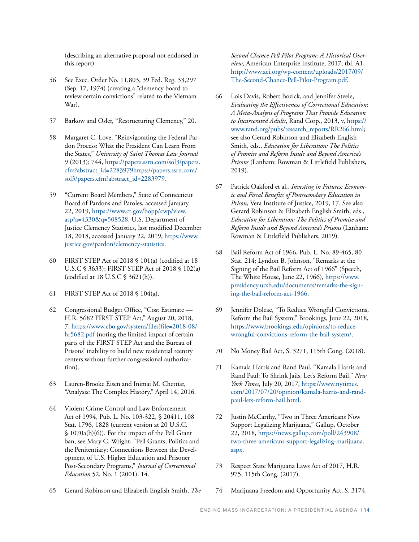(describing an alternative proposal not endorsed in this report).

- 56 See Exec. Order No. 11,803, 39 Fed. Reg. 33,297 (Sep. 17, 1974) (creating a "clemency board to review certain convictions" related to the Vietnam War).
- 57 Barkow and Osler, "Restructuring Clemency," 20.
- 58 Margaret C. Love, "Reinvigorating the Federal Pardon Process: What the President Can Learn From the States," *University of Saint Thomas Law Journal* 9 (2013): 744, [https://papers.ssrn.com/sol3/papers.](https://papers.ssrn.com/sol3/papers.cfm?abstract_id=2283979) [cfm?abstract\\_id=2283979https://papers.ssrn.com/](https://papers.ssrn.com/sol3/papers.cfm?abstract_id=2283979) [sol3/papers.cfm?abstract\\_id=2283979.](https://papers.ssrn.com/sol3/papers.cfm?abstract_id=2283979)
- 59 "Current Board Members," State of Connecticut Board of Pardons and Paroles, accessed January 22, 2019, [https://www.ct.gov/bopp/cwp/view.](https://www.ct.gov/bopp/cwp/view.asp?a=4330&q=508528) [asp?a=4330&q=508528](https://www.ct.gov/bopp/cwp/view.asp?a=4330&q=508528). U.S. Department of Justice Clemency Statistics, last modified December 18, 2018, accessed January 22, 2019, [https://www.](https://www.justice.gov/pardon/clemency-statistics) [justice.gov/pardon/clemency-statistics](https://www.justice.gov/pardon/clemency-statistics).
- 60 FIRST STEP Act of 2018 § 101(a) (codified at 18 U.S.C § 3633); FIRST STEP Act of 2018 § 102(a) (codified at 18 U.S.C § 3621(h)).
- 61 FIRST STEP Act of 2018 § 104(a).
- 62 Congressional Budget Office, "Cost Estimate H.R. 5682 FIRST STEP Act," August 20, 2018, 7, [https://www.cbo.gov/system/files?file=2018-08/](https://www.cbo.gov/system/files?file=2018-08/hr5682.pdf) [hr5682.pdf](https://www.cbo.gov/system/files?file=2018-08/hr5682.pdf) (noting the limited impact of certain parts of the FIRST STEP Act and the Bureau of Prisons' inability to build new residential reentry centers without further congressional authorization).
- 63 Lauren-Brooke Eisen and Inimai M. Chettiar, "Analysis: The Complex History," April 14, 2016.
- 64 Violent Crime Control and Law Enforcement Act of 1994, Pub. L. No. 103-322, § 20411, 108 Stat. 1796, 1828 (current version at 20 U.S.C. § 1070a(b)(6)). For the impact of the Pell Grant ban, see Mary C. Wright, "Pell Grants, Politics and the Penitentiary: Connections Between the Development of U.S. Higher Education and Prisoner Post-Secondary Programs," *Journal of Correctional Education* 52, No. 1 (2001): 14.
- 65 Gerard Robinson and Elizabeth English Smith, *The*

*Second Chance Pell Pilot Program: A Historical Overview*, American Enterprise Institute, 2017, tbl. A1, [http://www.aei.org/wp-content/uploads/2017/09/](http://www.aei.org/wp-content/uploads/2017/09/The-Second-Chance-Pell-Pilot-Program.pdf) [The-Second-Chance-Pell-Pilot-Program.pdf](http://www.aei.org/wp-content/uploads/2017/09/The-Second-Chance-Pell-Pilot-Program.pdf).

- 66 Lois Davis, Robert Bozick, and Jennifer Steele, *Evaluating the Effectiveness of Correctional Education*: *A Meta-Analysis of Programs That Provide Education to Incarcerated Adults*, Rand Corp., 2013, v, [https://](https://www.rand.org/pubs/research_reports/RR266.html) [www.rand.org/pubs/research\\_reports/RR266.html;](https://www.rand.org/pubs/research_reports/RR266.html) see also Gerard Robinson and Elizabeth English Smith, eds., *Education for Liberation: The Politics of Promise and Reform Inside and Beyond America's Prisons* (Lanham: Rowman & Littlefield Publishers, 2019).
- 67 Patrick Oakford et al., *Investing in Futures: Economic and Fiscal Benefits of Postsecondary Education in Prison*, Vera Institute of Justice, 2019, 17. See also Gerard Robinson & Elizabeth English Smith, eds., *Education for Liberation: The Politics of Promise and Reform Inside and Beyond America's Prisons* (Lanham: Rowman & Littlefield Publishers, 2019).
- 68 Bail Reform Act of 1966, Pub. L. No. 89-465, 80 Stat. 214; Lyndon B. Johnson, "Remarks at the Signing of the Bail Reform Act of 1966" (Speech, The White House, June 22, 1966), [https://www.](https://www.presidency.ucsb.edu/documents/remarks-the-signing-the-bail-reform-act-1966) [presidency.ucsb.edu/documents/remarks-the-sign](https://www.presidency.ucsb.edu/documents/remarks-the-signing-the-bail-reform-act-1966)[ing-the-bail-reform-act-1966](https://www.presidency.ucsb.edu/documents/remarks-the-signing-the-bail-reform-act-1966).
- 69 Jennifer Doleac, "To Reduce Wrongful Convictions, Reform the Bail System," Brookings, June 22, 2018, [https://www.brookings.edu/opinions/to-reduce](https://www.brookings.edu/opinions/to-reduce-wrongful-convictions-reform-the-bail-system/)[wrongful-convictions-reform-the-bail-system/.](https://www.brookings.edu/opinions/to-reduce-wrongful-convictions-reform-the-bail-system/)
- 70 No Money Bail Act, S. 3271, 115th Cong. (2018).
- 71 Kamala Harris and Rand Paul, "Kamala Harris and Rand Paul: To Shrink Jails, Let's Reform Bail," *New York Times*, July 20, 2017, [https://www.nytimes.](https://www.nytimes.com/2017/07/20/opinion/kamala-harris-and-rand-paul-lets-reform-bail.html) [com/2017/07/20/opinion/kamala-harris-and-rand](https://www.nytimes.com/2017/07/20/opinion/kamala-harris-and-rand-paul-lets-reform-bail.html)[paul-lets-reform-bail.html.](https://www.nytimes.com/2017/07/20/opinion/kamala-harris-and-rand-paul-lets-reform-bail.html)
- 72 Justin McCarthy, "Two in Three Americans Now Support Legalizing Marijuana," Gallup, October 22, 2018, [https://news.gallup.com/poll/243908/](https://news.gallup.com/poll/243908/two-three-americans-support-legalizing-marijuana.aspx) [two-three-americans-support-legalizing-marijuana.](https://news.gallup.com/poll/243908/two-three-americans-support-legalizing-marijuana.aspx) [aspx](https://news.gallup.com/poll/243908/two-three-americans-support-legalizing-marijuana.aspx).
- 73 Respect State Marijuana Laws Act of 2017, H.R. 975, 115th Cong. (2017).
- 74 Marijuana Freedom and Opportunity Act, S. 3174,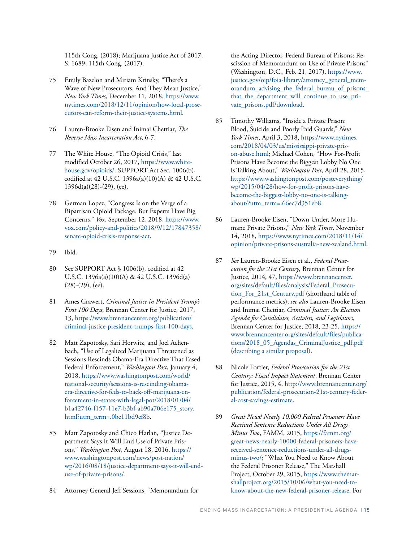115th Cong. (2018); Marijuana Justice Act of 2017, S. 1689, 115th Cong. (2017).

- 75 Emily Bazelon and Miriam Krinsky, "There's a Wave of New Prosecutors. And They Mean Justice," *New York Times*, December 11, 2018, [https://www.](https://www.nytimes.com/2018/12/11/opinion/how-local-prosecutors-can-reform-their-justice-systems.html) [nytimes.com/2018/12/11/opinion/how-local-prose](https://www.nytimes.com/2018/12/11/opinion/how-local-prosecutors-can-reform-their-justice-systems.html)[cutors-can-reform-their-justice-systems.html](https://www.nytimes.com/2018/12/11/opinion/how-local-prosecutors-can-reform-their-justice-systems.html).
- 76 Lauren-Brooke Eisen and Inimai Chettiar, *The Reverse Mass Incarceration Act*, 6-7.
- 77 The White House, "The Opioid Crisis," last modified October 26, 2017, [https://www.white](https://www.whitehouse.gov/opioids/)[house.gov/opioids/](https://www.whitehouse.gov/opioids/). SUPPORT Act Sec. 1006(b), codified at 42 U.S.C. 1396a(a)(10)(A) & 42 U.S.C. 1396d(a)(28)-(29), (ee).
- 78 German Lopez, "Congress Is on the Verge of a Bipartisan Opioid Package. But Experts Have Big Concerns," *Vox*, September 12, 2018, [https://www.](https://www.vox.com/policy-and-politics/2018/9/12/17847358/senate-opioid-crisis-response-act) [vox.com/policy-and-politics/2018/9/12/17847358/](https://www.vox.com/policy-and-politics/2018/9/12/17847358/senate-opioid-crisis-response-act) [senate-opioid-crisis-response-act.](https://www.vox.com/policy-and-politics/2018/9/12/17847358/senate-opioid-crisis-response-act)
- 79 Ibid.
- 80 See SUPPORT Act § 1006(b), codified at 42 U.S.C. 1396a(a)(10)(A) & 42 U.S.C. 1396d(a) (28)-(29), (ee).
- 81 Ames Grawert, *Criminal Justice in President Trump's First 100 Days*, Brennan Center for Justice, 2017, 13, [https://www.brennancenter.org/publication/](https://www.brennancenter.org/publication/criminal-justice-president-trumps-first-100-days) [criminal-justice-president-trumps-first-100-days](https://www.brennancenter.org/publication/criminal-justice-president-trumps-first-100-days).
- 82 Matt Zapotosky, Sari Horwitz, and Joel Achenbach, "Use of Legalized Marijuana Threatened as Sessions Rescinds Obama-Era Directive That Eased Federal Enforcement," *Washington Post*, January 4, 2018, [https://www.washingtonpost.com/world/](https://www.washingtonpost.com/world/national-security/sessions-is-rescinding-obama-era-directive-for-feds-to-back-off-marijuana-enforcement-in-states-with-legal-pot/2018/01/04/b1a42746-f157-11e7-b3bf-ab90a706e175_story.html?utm_term=.0be11bd9ef8b) [national-security/sessions-is-rescinding-obama](https://www.washingtonpost.com/world/national-security/sessions-is-rescinding-obama-era-directive-for-feds-to-back-off-marijuana-enforcement-in-states-with-legal-pot/2018/01/04/b1a42746-f157-11e7-b3bf-ab90a706e175_story.html?utm_term=.0be11bd9ef8b)[era-directive-for-feds-to-back-off-marijuana-en](https://www.washingtonpost.com/world/national-security/sessions-is-rescinding-obama-era-directive-for-feds-to-back-off-marijuana-enforcement-in-states-with-legal-pot/2018/01/04/b1a42746-f157-11e7-b3bf-ab90a706e175_story.html?utm_term=.0be11bd9ef8b)[forcement-in-states-with-legal-pot/2018/01/04/](https://www.washingtonpost.com/world/national-security/sessions-is-rescinding-obama-era-directive-for-feds-to-back-off-marijuana-enforcement-in-states-with-legal-pot/2018/01/04/b1a42746-f157-11e7-b3bf-ab90a706e175_story.html?utm_term=.0be11bd9ef8b) [b1a42746-f157-11e7-b3bf-ab90a706e175\\_story.](https://www.washingtonpost.com/world/national-security/sessions-is-rescinding-obama-era-directive-for-feds-to-back-off-marijuana-enforcement-in-states-with-legal-pot/2018/01/04/b1a42746-f157-11e7-b3bf-ab90a706e175_story.html?utm_term=.0be11bd9ef8b) [html?utm\\_term=.0be11bd9ef8b.](https://www.washingtonpost.com/world/national-security/sessions-is-rescinding-obama-era-directive-for-feds-to-back-off-marijuana-enforcement-in-states-with-legal-pot/2018/01/04/b1a42746-f157-11e7-b3bf-ab90a706e175_story.html?utm_term=.0be11bd9ef8b)
- 83 Matt Zapotosky and Chico Harlan, "Justice Department Says It Will End Use of Private Prisons," *Washington Post*, August 18, 2016, [https://](https://www.washingtonpost.com/news/post-nation/wp/2016/08/18/justice-department-says-it-will-end-use-of-private-prisons/) [www.washingtonpost.com/news/post-nation/](https://www.washingtonpost.com/news/post-nation/wp/2016/08/18/justice-department-says-it-will-end-use-of-private-prisons/) [wp/2016/08/18/justice-department-says-it-will-end](https://www.washingtonpost.com/news/post-nation/wp/2016/08/18/justice-department-says-it-will-end-use-of-private-prisons/)[use-of-private-prisons/](https://www.washingtonpost.com/news/post-nation/wp/2016/08/18/justice-department-says-it-will-end-use-of-private-prisons/).
- 84 Attorney General Jeff Sessions, "Memorandum for

the Acting Director, Federal Bureau of Prisons: Rescission of Memorandum on Use of Private Prisons" (Washington, D.C., Feb. 21, 2017), [https://www.](https://www.justice.gov/oip/foia-library/attorney_general_memorandum_advising_the_federal_bureau_of_prisons_that_the_department_will_continue_to_use_private_prisons.pdf/download) [justice.gov/oip/foia-library/attorney\\_general\\_mem](https://www.justice.gov/oip/foia-library/attorney_general_memorandum_advising_the_federal_bureau_of_prisons_that_the_department_will_continue_to_use_private_prisons.pdf/download)orandum advising the federal bureau of prisons [that\\_the\\_department\\_will\\_continue\\_to\\_use\\_pri](https://www.justice.gov/oip/foia-library/attorney_general_memorandum_advising_the_federal_bureau_of_prisons_that_the_department_will_continue_to_use_private_prisons.pdf/download)[vate\\_prisons.pdf/download](https://www.justice.gov/oip/foia-library/attorney_general_memorandum_advising_the_federal_bureau_of_prisons_that_the_department_will_continue_to_use_private_prisons.pdf/download).

- 85 Timothy Williams, "Inside a Private Prison: Blood, Suicide and Poorly Paid Guards," *New York Times*, April 3, 2018, [https://www.nytimes.](https://www.nytimes.com/2018/04/03/us/mississippi-private-prison-abuse.html) [com/2018/04/03/us/mississippi-private-pris](https://www.nytimes.com/2018/04/03/us/mississippi-private-prison-abuse.html)[on-abuse.html;](https://www.nytimes.com/2018/04/03/us/mississippi-private-prison-abuse.html) Michael Cohen, "How For-Profit Prisons Have Become the Biggest Lobby No One Is Talking About," *Washington Post*, April 28, 2015, [https://www.washingtonpost.com/posteverything/](https://www.washingtonpost.com/posteverything/wp/2015/04/28/how-for-profit-prisons-have-become-the-biggest-lobby-no-one-is-talking-about/?utm_term=.66ec7d351eb8) [wp/2015/04/28/how-for-profit-prisons-have](https://www.washingtonpost.com/posteverything/wp/2015/04/28/how-for-profit-prisons-have-become-the-biggest-lobby-no-one-is-talking-about/?utm_term=.66ec7d351eb8)[become-the-biggest-lobby-no-one-is-talking](https://www.washingtonpost.com/posteverything/wp/2015/04/28/how-for-profit-prisons-have-become-the-biggest-lobby-no-one-is-talking-about/?utm_term=.66ec7d351eb8)[about/?utm\\_term=.66ec7d351eb8](https://www.washingtonpost.com/posteverything/wp/2015/04/28/how-for-profit-prisons-have-become-the-biggest-lobby-no-one-is-talking-about/?utm_term=.66ec7d351eb8).
- 86 Lauren-Brooke Eisen, "Down Under, More Humane Private Prisons," *New York Times*, November 14, 2018, [https://www.nytimes.com/2018/11/14/](https://www.nytimes.com/2018/11/14/opinion/private-prisons-australia-new-zealand.html) [opinion/private-prisons-australia-new-zealand.html](https://www.nytimes.com/2018/11/14/opinion/private-prisons-australia-new-zealand.html).
- 87 *See* Lauren-Brooke Eisen et al., *Federal Prosecution for the 21st Century*, Brennan Center for Justice, 2014, 47, [https://www.brennancenter.](https://www.brennancenter.org/sites/default/files/analysis/Federal_Prosecution_For_21st_Century.pdf) [org/sites/default/files/analysis/Federal\\_Prosecu](https://www.brennancenter.org/sites/default/files/analysis/Federal_Prosecution_For_21st_Century.pdf)[tion\\_For\\_21st\\_Century.pdf](https://www.brennancenter.org/sites/default/files/analysis/Federal_Prosecution_For_21st_Century.pdf) (shorthand table of performance metrics); *see also* Lauren-Brooke Eisen and Inimai Chettiar, *Criminal Justice: An Election Agenda for Candidates, Activists, and Legislators*, Brennan Center for Justice, 2018, 23-25, [https://](https://www.brennancenter.org/sites/default/files/publications/2018_05_Agendas_CriminalJustice_pdf.pdf) [www.brennancenter.org/sites/default/files/publica](https://www.brennancenter.org/sites/default/files/publications/2018_05_Agendas_CriminalJustice_pdf.pdf)[tions/2018\\_05\\_Agendas\\_CriminalJustice\\_pdf.pdf](https://www.brennancenter.org/sites/default/files/publications/2018_05_Agendas_CriminalJustice_pdf.pdf) (describing a similar proposal).
- 88 Nicole Fortier, *Federal Prosecution for the 21st Century: Fiscal Impact Statement*, Brennan Center for Justice, 2015, 4, [http://www.brennancenter.org/](http://www.brennancenter.org/publication/federal-prosecution-21st-century-federal-cost-savings-estimate) [publication/federal-prosecution-21st-century-feder](http://www.brennancenter.org/publication/federal-prosecution-21st-century-federal-cost-savings-estimate)[al-cost-savings-estimate.](http://www.brennancenter.org/publication/federal-prosecution-21st-century-federal-cost-savings-estimate)
- 89 *Great News! Nearly 10,000 Federal Prisoners Have Received Sentence Reductions Under All Drugs Minus Two*, FAMM, 2015, [https://famm.org/](https://famm.org/great-news-nearly-10000-federal-prisoners-have-received-sentence-reductions-under-all-drugs-minus-two/) [great-news-nearly-10000-federal-prisoners-have](https://famm.org/great-news-nearly-10000-federal-prisoners-have-received-sentence-reductions-under-all-drugs-minus-two/)[received-sentence-reductions-under-all-drugs](https://famm.org/great-news-nearly-10000-federal-prisoners-have-received-sentence-reductions-under-all-drugs-minus-two/)[minus-two/;](https://famm.org/great-news-nearly-10000-federal-prisoners-have-received-sentence-reductions-under-all-drugs-minus-two/) "What You Need to Know About the Federal Prisoner Release," The Marshall Project, October 29, 2015, [https://www.themar](https://www.themarshallproject.org/2015/10/06/what-you-need-to-know-about-the-new-federal-prisoner-release)[shallproject.org/2015/10/06/what-you-need-to](https://www.themarshallproject.org/2015/10/06/what-you-need-to-know-about-the-new-federal-prisoner-release)[know-about-the-new-federal-prisoner-release](https://www.themarshallproject.org/2015/10/06/what-you-need-to-know-about-the-new-federal-prisoner-release). For